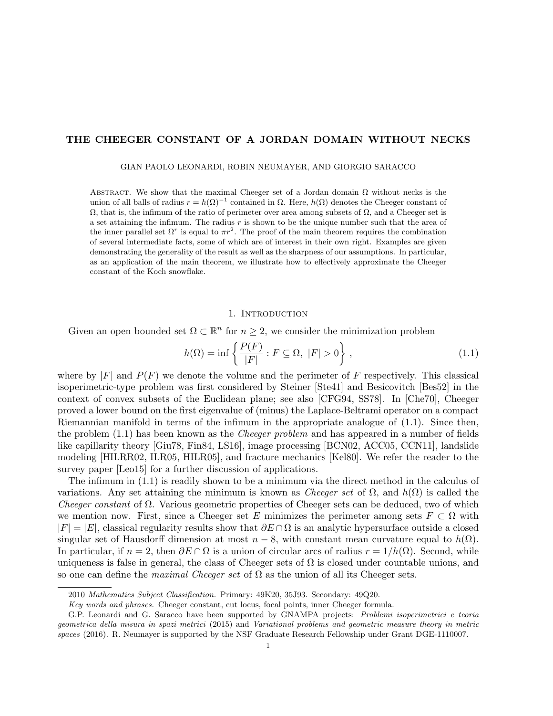# THE CHEEGER CONSTANT OF A JORDAN DOMAIN WITHOUT NECKS

GIAN PAOLO LEONARDI, ROBIN NEUMAYER, AND GIORGIO SARACCO

ABSTRACT. We show that the maximal Cheeger set of a Jordan domain  $\Omega$  without necks is the union of all balls of radius  $r = h(\Omega)^{-1}$  contained in  $\Omega$ . Here,  $h(\Omega)$  denotes the Cheeger constant of  $Ω$ , that is, the infimum of the ratio of perimeter over area among subsets of  $Ω$ , and a Cheeger set is a set attaining the infimum. The radius  $r$  is shown to be the unique number such that the area of the inner parallel set  $\Omega^r$  is equal to  $\pi r^2$ . The proof of the main theorem requires the combination of several intermediate facts, some of which are of interest in their own right. Examples are given demonstrating the generality of the result as well as the sharpness of our assumptions. In particular, as an application of the main theorem, we illustrate how to effectively approximate the Cheeger constant of the Koch snowflake.

# 1. INTRODUCTION

Given an open bounded set  $\Omega \subset \mathbb{R}^n$  for  $n \geq 2$ , we consider the minimization problem

$$
h(\Omega) = \inf \left\{ \frac{P(F)}{|F|} : F \subseteq \Omega, \ |F| > 0 \right\},\tag{1.1}
$$

where by  $|F|$  and  $P(F)$  we denote the volume and the perimeter of F respectively. This classical isoperimetric-type problem was first considered by Steiner [Ste41] and Besicovitch [Bes52] in the context of convex subsets of the Euclidean plane; see also [CFG94, SS78]. In [Che70], Cheeger proved a lower bound on the first eigenvalue of (minus) the Laplace-Beltrami operator on a compact Riemannian manifold in terms of the infimum in the appropriate analogue of (1.1). Since then, the problem  $(1.1)$  has been known as the *Cheeger problem* and has appeared in a number of fields like capillarity theory [Giu78, Fin84, LS16], image processing [BCN02, ACC05, CCN11], landslide modeling [HILRR02, ILR05, HILR05], and fracture mechanics [Kel80]. We refer the reader to the survey paper [Leo15] for a further discussion of applications.

The infimum in (1.1) is readily shown to be a minimum via the direct method in the calculus of variations. Any set attaining the minimum is known as *Cheeger set* of  $\Omega$ , and  $h(\Omega)$  is called the Cheeger constant of  $\Omega$ . Various geometric properties of Cheeger sets can be deduced, two of which we mention now. First, since a Cheeger set E minimizes the perimeter among sets  $F \subset \Omega$  with  $|F| = |E|$ , classical regularity results show that  $\partial E \cap \Omega$  is an analytic hypersurface outside a closed singular set of Hausdorff dimension at most  $n-8$ , with constant mean curvature equal to  $h(\Omega)$ . In particular, if  $n = 2$ , then  $\partial E \cap \Omega$  is a union of circular arcs of radius  $r = 1/h(\Omega)$ . Second, while uniqueness is false in general, the class of Cheeger sets of  $\Omega$  is closed under countable unions, and so one can define the *maximal Cheeger set* of  $\Omega$  as the union of all its Cheeger sets.

<sup>2010</sup> Mathematics Subject Classification. Primary: 49K20, 35J93. Secondary: 49Q20.

Key words and phrases. Cheeger constant, cut locus, focal points, inner Cheeger formula.

G.P. Leonardi and G. Saracco have been supported by GNAMPA projects: Problemi isoperimetrici e teoria geometrica della misura in spazi metrici (2015) and Variational problems and geometric measure theory in metric spaces (2016). R. Neumayer is supported by the NSF Graduate Research Fellowship under Grant DGE-1110007.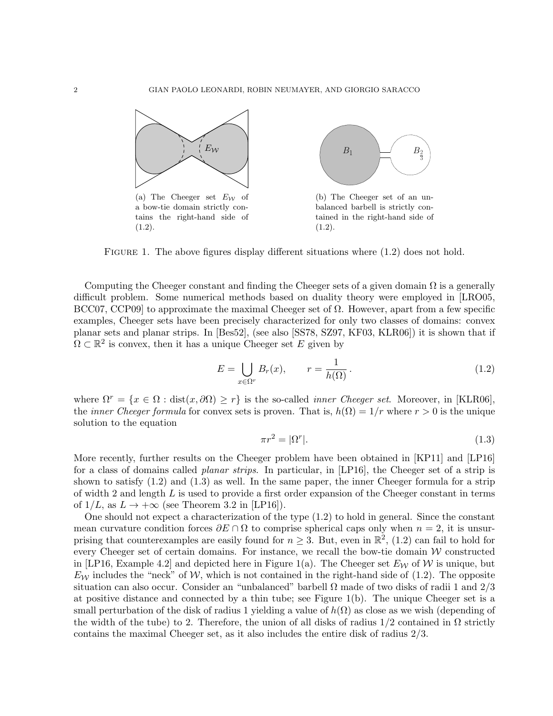

FIGURE 1. The above figures display different situations where  $(1.2)$  does not hold.

Computing the Cheeger constant and finding the Cheeger sets of a given domain  $\Omega$  is a generally difficult problem. Some numerical methods based on duality theory were employed in [LRO05, BCC07, CCP09 to approximate the maximal Cheeger set of  $Ω$ . However, apart from a few specific examples, Cheeger sets have been precisely characterized for only two classes of domains: convex planar sets and planar strips. In [Bes52], (see also [SS78, SZ97, KF03, KLR06]) it is shown that if  $\Omega \subset \mathbb{R}^2$  is convex, then it has a unique Cheeger set E given by

$$
E = \bigcup_{x \in \Omega^r} B_r(x), \qquad r = \frac{1}{h(\Omega)}.
$$
\n(1.2)

where  $\Omega^r = \{x \in \Omega : dist(x, \partial \Omega) \geq r\}$  is the so-called *inner Cheeger set*. Moreover, in [KLR06], the *inner Cheeger formula* for convex sets is proven. That is,  $h(\Omega) = 1/r$  where  $r > 0$  is the unique solution to the equation

$$
\pi r^2 = |\Omega^r|.\tag{1.3}
$$

More recently, further results on the Cheeger problem have been obtained in [KP11] and [LP16] for a class of domains called *planar strips*. In particular, in [LP16], the Cheeger set of a strip is shown to satisfy (1.2) and (1.3) as well. In the same paper, the inner Cheeger formula for a strip of width 2 and length  $L$  is used to provide a first order expansion of the Cheeger constant in terms of  $1/L$ , as  $L \rightarrow +\infty$  (see Theorem 3.2 in [LP16]).

One should not expect a characterization of the type (1.2) to hold in general. Since the constant mean curvature condition forces  $\partial E \cap \Omega$  to comprise spherical caps only when  $n = 2$ , it is unsurprising that counterexamples are easily found for  $n \geq 3$ . But, even in  $\mathbb{R}^2$ , (1.2) can fail to hold for every Cheeger set of certain domains. For instance, we recall the bow-tie domain  $W$  constructed in [LP16, Example 4.2] and depicted here in Figure 1(a). The Cheeger set  $E_W$  of W is unique, but  $E_W$  includes the "neck" of W, which is not contained in the right-hand side of (1.2). The opposite situation can also occur. Consider an "unbalanced" barbell  $\Omega$  made of two disks of radii 1 and  $2/3$ at positive distance and connected by a thin tube; see Figure 1(b). The unique Cheeger set is a small perturbation of the disk of radius 1 yielding a value of  $h(\Omega)$  as close as we wish (depending of the width of the tube) to 2. Therefore, the union of all disks of radius  $1/2$  contained in  $\Omega$  strictly contains the maximal Cheeger set, as it also includes the entire disk of radius 2/3.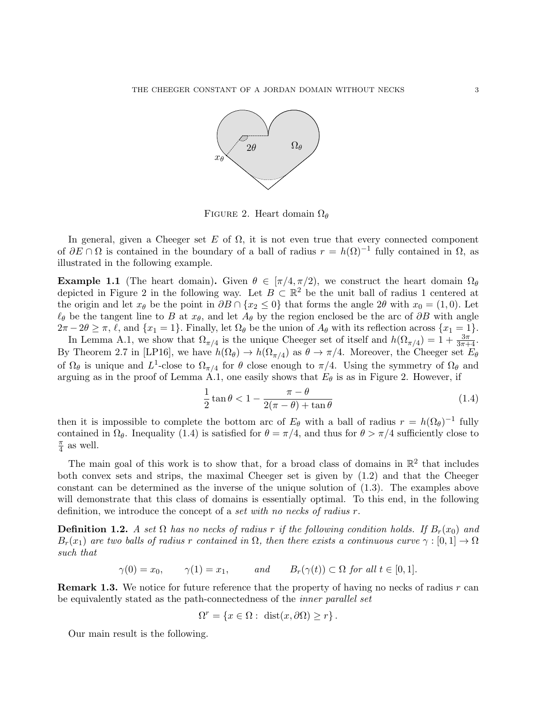

FIGURE 2. Heart domain  $\Omega_{\theta}$ 

In general, given a Cheeger set E of  $\Omega$ , it is not even true that every connected component of  $\partial E \cap \Omega$  is contained in the boundary of a ball of radius  $r = h(\Omega)^{-1}$  fully contained in  $\Omega$ , as illustrated in the following example.

**Example 1.1** (The heart domain). Given  $\theta \in [\pi/4, \pi/2]$ , we construct the heart domain  $\Omega_{\theta}$ depicted in Figure 2 in the following way. Let  $B \subset \mathbb{R}^2$  be the unit ball of radius 1 centered at the origin and let  $x_{\theta}$  be the point in  $\partial B \cap \{x_2 \leq 0\}$  that forms the angle 2 $\theta$  with  $x_0 = (1, 0)$ . Let  $\ell_{\theta}$  be the tangent line to B at  $x_{\theta}$ , and let  $A_{\theta}$  by the region enclosed be the arc of  $\partial B$  with angle  $2\pi - 2\theta \geq \pi$ ,  $\ell$ , and  $\{x_1 = 1\}$ . Finally, let  $\Omega_{\theta}$  be the union of  $A_{\theta}$  with its reflection across  $\{x_1 = 1\}$ .

In Lemma A.1, we show that  $\Omega_{\pi/4}$  is the unique Cheeger set of itself and  $h(\Omega_{\pi/4}) = 1 + \frac{3\pi}{3\pi+4}$ . By Theorem 2.7 in [LP16], we have  $h(\Omega_{\theta}) \to h(\Omega_{\pi/4})$  as  $\theta \to \pi/4$ . Moreover, the Cheeger set  $E_{\theta}$ of  $\Omega_{\theta}$  is unique and  $L^{1}$ -close to  $\Omega_{\pi/4}$  for  $\theta$  close enough to  $\pi/4$ . Using the symmetry of  $\Omega_{\theta}$  and arguing as in the proof of Lemma A.1, one easily shows that  $E_{\theta}$  is as in Figure 2. However, if

$$
\frac{1}{2}\tan\theta < 1 - \frac{\pi - \theta}{2(\pi - \theta) + \tan\theta} \tag{1.4}
$$

then it is impossible to complete the bottom arc of  $E_{\theta}$  with a ball of radius  $r = h(\Omega_{\theta})^{-1}$  fully contained in  $\Omega_{\theta}$ . Inequality (1.4) is satisfied for  $\theta = \pi/4$ , and thus for  $\theta > \pi/4$  sufficiently close to π  $\frac{\pi}{4}$  as well.

The main goal of this work is to show that, for a broad class of domains in  $\mathbb{R}^2$  that includes both convex sets and strips, the maximal Cheeger set is given by (1.2) and that the Cheeger constant can be determined as the inverse of the unique solution of (1.3). The examples above will demonstrate that this class of domains is essentially optimal. To this end, in the following definition, we introduce the concept of a set with no necks of radius r.

**Definition 1.2.** A set  $\Omega$  has no necks of radius r if the following condition holds. If  $B_r(x_0)$  and  $B_r(x_1)$  are two balls of radius r contained in  $\Omega$ , then there exists a continuous curve  $\gamma : [0,1] \to \Omega$ such that

 $\gamma(0) = x_0,$   $\gamma(1) = x_1,$  and  $B_r(\gamma(t)) \subset \Omega$  for all  $t \in [0, 1].$ 

**Remark 1.3.** We notice for future reference that the property of having no necks of radius  $r$  can be equivalently stated as the path-connectedness of the inner parallel set

$$
\Omega^r = \left\{ x \in \Omega : \; \mathrm{dist}(x, \partial \Omega) \geq r \right\}.
$$

Our main result is the following.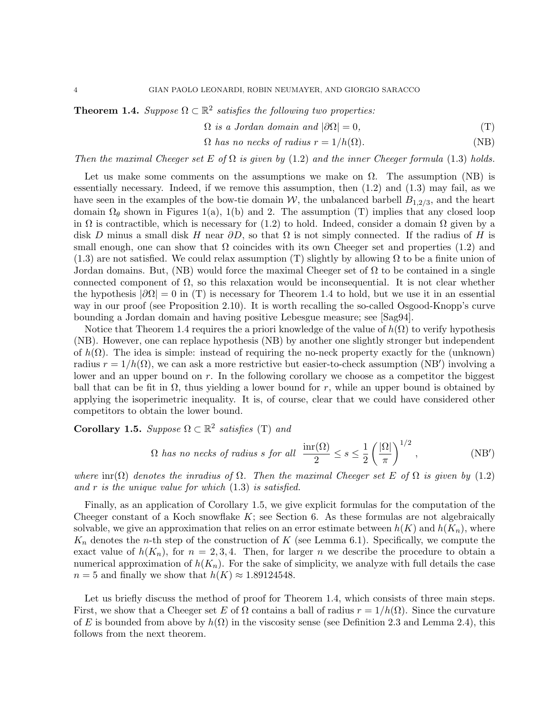**Theorem 1.4.** Suppose  $\Omega \subset \mathbb{R}^2$  satisfies the following two properties:

$$
\Omega \text{ is a Jordan domain and } |\partial \Omega| = 0,
$$
\n<sup>(T)</sup>

$$
\Omega \text{ has no necks of radius } r = 1/h(\Omega). \tag{NB}
$$

Then the maximal Cheeger set E of  $\Omega$  is given by (1.2) and the inner Cheeger formula (1.3) holds.

Let us make some comments on the assumptions we make on  $\Omega$ . The assumption (NB) is essentially necessary. Indeed, if we remove this assumption, then (1.2) and (1.3) may fail, as we have seen in the examples of the bow-tie domain  $W$ , the unbalanced barbell  $B_{1,2/3}$ , and the heart domain  $\Omega_{\theta}$  shown in Figures 1(a), 1(b) and 2. The assumption (T) implies that any closed loop in  $\Omega$  is contractible, which is necessary for (1.2) to hold. Indeed, consider a domain  $\Omega$  given by a disk D minus a small disk H near  $\partial D$ , so that  $\Omega$  is not simply connected. If the radius of H is small enough, one can show that  $\Omega$  coincides with its own Cheeger set and properties (1.2) and  $(1.3)$  are not satisfied. We could relax assumption (T) slightly by allowing  $\Omega$  to be a finite union of Jordan domains. But, (NB) would force the maximal Cheeger set of  $\Omega$  to be contained in a single connected component of  $\Omega$ , so this relaxation would be inconsequential. It is not clear whether the hypothesis  $|\partial\Omega|=0$  in (T) is necessary for Theorem 1.4 to hold, but we use it in an essential way in our proof (see Proposition 2.10). It is worth recalling the so-called Osgood-Knopp's curve bounding a Jordan domain and having positive Lebesgue measure; see [Sag94].

Notice that Theorem 1.4 requires the a priori knowledge of the value of  $h(\Omega)$  to verify hypothesis (NB). However, one can replace hypothesis (NB) by another one slightly stronger but independent of  $h(\Omega)$ . The idea is simple: instead of requiring the no-neck property exactly for the (unknown) radius  $r = 1/h(\Omega)$ , we can ask a more restrictive but easier-to-check assumption (NB') involving a lower and an upper bound on  $r$ . In the following corollary we choose as a competitor the biggest ball that can be fit in  $\Omega$ , thus yielding a lower bound for r, while an upper bound is obtained by applying the isoperimetric inequality. It is, of course, clear that we could have considered other competitors to obtain the lower bound.

**Corollary 1.5.** Suppose  $\Omega \subset \mathbb{R}^2$  satisfies (T) and

$$
\Omega \text{ has no necks of radius } s \text{ for all } \frac{\text{inr}(\Omega)}{2} \le s \le \frac{1}{2} \left(\frac{|\Omega|}{\pi}\right)^{1/2}, \tag{NB'}
$$

where  $\text{im}(\Omega)$  denotes the inradius of  $\Omega$ . Then the maximal Cheeger set E of  $\Omega$  is given by (1.2) and  $r$  is the unique value for which  $(1.3)$  is satisfied.

Finally, as an application of Corollary 1.5, we give explicit formulas for the computation of the Cheeger constant of a Koch snowflake  $K$ ; see Section 6. As these formulas are not algebraically solvable, we give an approximation that relies on an error estimate between  $h(K)$  and  $h(K_n)$ , where  $K_n$  denotes the *n*-th step of the construction of K (see Lemma 6.1). Specifically, we compute the exact value of  $h(K_n)$ , for  $n = 2, 3, 4$ . Then, for larger n we describe the procedure to obtain a numerical approximation of  $h(K_n)$ . For the sake of simplicity, we analyze with full details the case  $n = 5$  and finally we show that  $h(K) \approx 1.89124548$ .

Let us briefly discuss the method of proof for Theorem 1.4, which consists of three main steps. First, we show that a Cheeger set E of  $\Omega$  contains a ball of radius  $r = 1/h(\Omega)$ . Since the curvature of E is bounded from above by  $h(\Omega)$  in the viscosity sense (see Definition 2.3 and Lemma 2.4), this follows from the next theorem.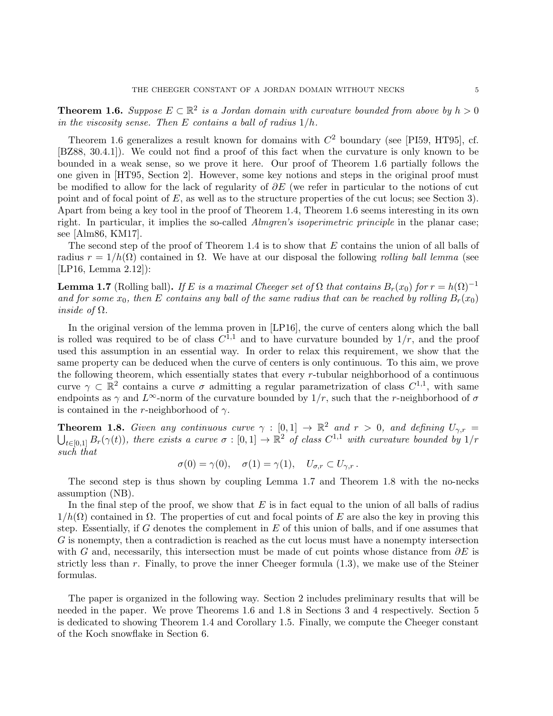**Theorem 1.6.** Suppose  $E \subset \mathbb{R}^2$  is a Jordan domain with curvature bounded from above by  $h > 0$ in the viscosity sense. Then  $E$  contains a ball of radius  $1/h$ .

Theorem 1.6 generalizes a result known for domains with  $C^2$  boundary (see [PI59, HT95], cf. [BZ88, 30.4.1]). We could not find a proof of this fact when the curvature is only known to be bounded in a weak sense, so we prove it here. Our proof of Theorem 1.6 partially follows the one given in [HT95, Section 2]. However, some key notions and steps in the original proof must be modified to allow for the lack of regularity of  $\partial E$  (we refer in particular to the notions of cut point and of focal point of E, as well as to the structure properties of the cut locus; see Section 3). Apart from being a key tool in the proof of Theorem 1.4, Theorem 1.6 seems interesting in its own right. In particular, it implies the so-called Almgren's isoperimetric principle in the planar case; see [Alm86, KM17].

The second step of the proof of Theorem 1.4 is to show that E contains the union of all balls of radius  $r = 1/h(\Omega)$  contained in  $\Omega$ . We have at our disposal the following rolling ball lemma (see [LP16, Lemma 2.12]):

**Lemma 1.7** (Rolling ball). If E is a maximal Cheeger set of  $\Omega$  that contains  $B_r(x_0)$  for  $r = h(\Omega)^{-1}$ and for some  $x_0$ , then E contains any ball of the same radius that can be reached by rolling  $B_r(x_0)$ inside of  $\Omega$ .

In the original version of the lemma proven in [LP16], the curve of centers along which the ball is rolled was required to be of class  $C^{1,1}$  and to have curvature bounded by  $1/r$ , and the proof used this assumption in an essential way. In order to relax this requirement, we show that the same property can be deduced when the curve of centers is only continuous. To this aim, we prove the following theorem, which essentially states that every r-tubular neighborhood of a continuous curve  $\gamma \subset \mathbb{R}^2$  contains a curve  $\sigma$  admitting a regular parametrization of class  $C^{1,1}$ , with same endpoints as  $\gamma$  and  $L^{\infty}$ -norm of the curvature bounded by  $1/r$ , such that the r-neighborhood of  $\sigma$ is contained in the r-neighborhood of  $\gamma$ .

**Theorem 1.8.** Given any continuous curve  $\gamma : [0,1] \to \mathbb{R}^2$  and  $r > 0$ , and defining  $U_{\gamma,r} =$  $\bigcup_{t\in[0,1]}B_r(\gamma(t))$ , there exists a curve  $\sigma:[0,1]\to\mathbb{R}^2$  of class  $C^{1,1}$  with curvature bounded by  $1/r$ such that

$$
\sigma(0) = \gamma(0), \quad \sigma(1) = \gamma(1), \quad U_{\sigma,r} \subset U_{\gamma,r}.
$$

The second step is thus shown by coupling Lemma 1.7 and Theorem 1.8 with the no-necks assumption (NB).

In the final step of the proof, we show that  $E$  is in fact equal to the union of all balls of radius  $1/h(\Omega)$  contained in  $\Omega$ . The properties of cut and focal points of E are also the key in proving this step. Essentially, if G denotes the complement in  $E$  of this union of balls, and if one assumes that G is nonempty, then a contradiction is reached as the cut locus must have a nonempty intersection with G and, necessarily, this intersection must be made of cut points whose distance from  $\partial E$  is strictly less than  $r$ . Finally, to prove the inner Cheeger formula  $(1.3)$ , we make use of the Steiner formulas.

The paper is organized in the following way. Section 2 includes preliminary results that will be needed in the paper. We prove Theorems 1.6 and 1.8 in Sections 3 and 4 respectively. Section 5 is dedicated to showing Theorem 1.4 and Corollary 1.5. Finally, we compute the Cheeger constant of the Koch snowflake in Section 6.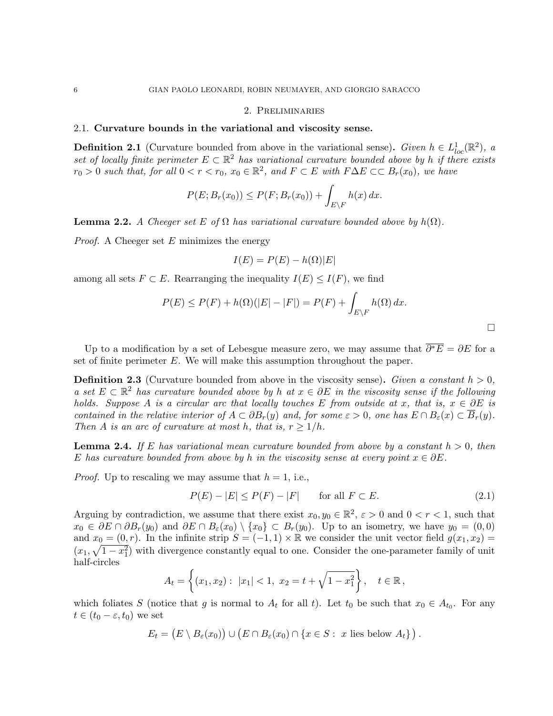## 2. Preliminaries

### 2.1. Curvature bounds in the variational and viscosity sense.

**Definition 2.1** (Curvature bounded from above in the variational sense). Given  $h \in L^1_{loc}(\mathbb{R}^2)$ , a set of locally finite perimeter  $E \subset \mathbb{R}^2$  has variational curvature bounded above by h if there exists  $r_0 > 0$  such that, for all  $0 < r < r_0$ ,  $x_0 \in \mathbb{R}^2$ , and  $F \subset E$  with  $F \Delta E \subset \subset B_r(x_0)$ , we have

$$
P(E; B_r(x_0)) \le P(F; B_r(x_0)) + \int_{E \setminus F} h(x) dx.
$$

**Lemma 2.2.** A Cheeger set E of  $\Omega$  has variational curvature bounded above by  $h(\Omega)$ .

*Proof.* A Cheeger set  $E$  minimizes the energy

$$
I(E) = P(E) - h(\Omega)|E|
$$

among all sets  $F \subset E$ . Rearranging the inequality  $I(E) \leq I(F)$ , we find

$$
P(E) \le P(F) + h(\Omega)(|E| - |F|) = P(F) + \int_{E \setminus F} h(\Omega) dx.
$$

 $\Box$ 

Up to a modification by a set of Lebesgue measure zero, we may assume that  $\overline{\partial^*E} = \partial E$  for a set of finite perimeter  $E$ . We will make this assumption throughout the paper.

**Definition 2.3** (Curvature bounded from above in the viscosity sense). Given a constant  $h > 0$ , a set  $E \subset \mathbb{R}^2$  has curvature bounded above by h at  $x \in \partial E$  in the viscosity sense if the following holds. Suppose A is a circular arc that locally touches E from outside at x, that is,  $x \in \partial E$  is contained in the relative interior of  $A \subset \partial B_r(y)$  and, for some  $\varepsilon > 0$ , one has  $E \cap B_{\varepsilon}(x) \subset B_r(y)$ . Then A is an arc of curvature at most h, that is,  $r \geq 1/h$ .

**Lemma 2.4.** If E has variational mean curvature bounded from above by a constant  $h > 0$ , then E has curvature bounded from above by h in the viscosity sense at every point  $x \in \partial E$ .

*Proof.* Up to rescaling we may assume that  $h = 1$ , i.e.,

$$
P(E) - |E| \le P(F) - |F| \qquad \text{for all } F \subset E. \tag{2.1}
$$

Arguing by contradiction, we assume that there exist  $x_0, y_0 \in \mathbb{R}^2$ ,  $\varepsilon > 0$  and  $0 < r < 1$ , such that  $x_0 \in \partial E \cap \partial B_r(y_0)$  and  $\partial E \cap B_\varepsilon(x_0) \setminus \{x_0\} \subset B_r(y_0)$ . Up to an isometry, we have  $y_0 = (0,0)$ and  $x_0 = (0, r)$ . In the infinite strip  $S = (-1, 1) \times \mathbb{R}$  we consider the unit vector field  $g(x_1, x_2) =$  $(x_1, \sqrt{1-x_1^2})$  with divergence constantly equal to one. Consider the one-parameter family of unit half-circles

$$
A_t = \left\{ (x_1, x_2) : |x_1| < 1, \ x_2 = t + \sqrt{1 - x_1^2} \right\}, \quad t \in \mathbb{R},
$$

which foliates S (notice that g is normal to  $A_t$  for all t). Let  $t_0$  be such that  $x_0 \in A_{t_0}$ . For any  $t \in (t_0 - \varepsilon, t_0)$  we set

$$
E_t = (E \setminus B_{\varepsilon}(x_0)) \cup (E \cap B_{\varepsilon}(x_0) \cap \{x \in S : x \text{ lies below } A_t\}).
$$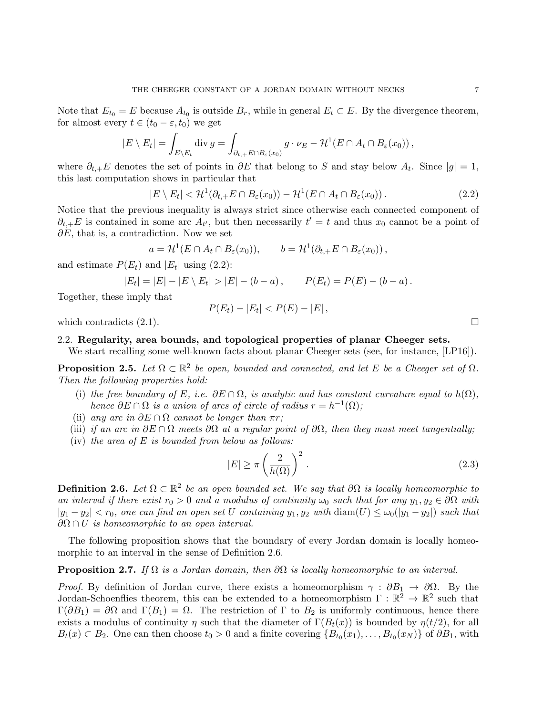Note that  $E_{t_0} = E$  because  $A_{t_0}$  is outside  $B_r$ , while in general  $E_t \subset E$ . By the divergence theorem, for almost every  $t \in (t_0 - \varepsilon, t_0)$  we get

$$
|E \setminus E_t| = \int_{E \setminus E_t} \operatorname{div} g = \int_{\partial_{t,+} E \cap B_{\varepsilon}(x_0)} g \cdot \nu_E - \mathcal{H}^1(E \cap A_t \cap B_{\varepsilon}(x_0)),
$$

where  $\partial_{t,+}E$  denotes the set of points in  $\partial E$  that belong to S and stay below  $A_t$ . Since  $|g|=1$ , this last computation shows in particular that

$$
|E \setminus E_t| < \mathcal{H}^1(\partial_{t,+} E \cap B_{\varepsilon}(x_0)) - \mathcal{H}^1(E \cap A_t \cap B_{\varepsilon}(x_0)).\tag{2.2}
$$

Notice that the previous inequality is always strict since otherwise each connected component of  $\partial_{t,+}E$  is contained in some arc  $A_{t}$ , but then necessarily  $t' = t$  and thus  $x_0$  cannot be a point of  $\partial E$ , that is, a contradiction. Now we set

$$
a = \mathcal{H}^1(E \cap A_t \cap B_{\varepsilon}(x_0)), \qquad b = \mathcal{H}^1(\partial_{t,+} E \cap B_{\varepsilon}(x_0)),
$$

and estimate  $P(E_t)$  and  $|E_t|$  using (2.2):

$$
|E_t| = |E| - |E \setminus E_t| > |E| - (b - a), \qquad P(E_t) = P(E) - (b - a).
$$

Together, these imply that

$$
P(E_t) - |E_t| < P(E) - |E| \,,
$$

which contradicts  $(2.1)$ .

# 2.2. Regularity, area bounds, and topological properties of planar Cheeger sets.

We start recalling some well-known facts about planar Cheeger sets (see, for instance, [LP16]).

**Proposition 2.5.** Let  $\Omega \subset \mathbb{R}^2$  be open, bounded and connected, and let E be a Cheeger set of  $\Omega$ . Then the following properties hold:

- (i) the free boundary of E, i.e.  $\partial E \cap \Omega$ , is analytic and has constant curvature equal to  $h(\Omega)$ , hence  $\partial E \cap \Omega$  is a union of arcs of circle of radius  $r = h^{-1}(\Omega)$ ;
- (ii) any arc in  $\partial E \cap \Omega$  cannot be longer than  $\pi r$ ;
- (iii) if an arc in  $\partial E \cap \Omega$  meets  $\partial \Omega$  at a regular point of  $\partial \Omega$ , then they must meet tangentially;
- (iv) the area of  $E$  is bounded from below as follows:

$$
|E| \ge \pi \left(\frac{2}{h(\Omega)}\right)^2.
$$
\n(2.3)

**Definition 2.6.** Let  $\Omega \subset \mathbb{R}^2$  be an open bounded set. We say that  $\partial \Omega$  is locally homeomorphic to an interval if there exist  $r_0 > 0$  and a modulus of continuity  $\omega_0$  such that for any  $y_1, y_2 \in \partial\Omega$  with  $|y_1 - y_2| < r_0$ , one can find an open set U containing  $y_1, y_2$  with  $\text{diam}(U) \leq \omega_0(|y_1 - y_2|)$  such that  $\partial\Omega \cap U$  is homeomorphic to an open interval.

The following proposition shows that the boundary of every Jordan domain is locally homeomorphic to an interval in the sense of Definition 2.6.

## **Proposition 2.7.** If  $\Omega$  is a Jordan domain, then  $\partial\Omega$  is locally homeomorphic to an interval.

*Proof.* By definition of Jordan curve, there exists a homeomorphism  $\gamma : \partial B_1 \to \partial \Omega$ . By the Jordan-Schoenflies theorem, this can be extended to a homeomorphism  $\Gamma : \mathbb{R}^2 \to \mathbb{R}^2$  such that  $\Gamma(\partial B_1) = \partial \Omega$  and  $\Gamma(B_1) = \Omega$ . The restriction of  $\Gamma$  to  $B_2$  is uniformly continuous, hence there exists a modulus of continuity  $\eta$  such that the diameter of  $\Gamma(B_t(x))$  is bounded by  $\eta(t/2)$ , for all  $B_t(x) \subset B_2$ . One can then choose  $t_0 > 0$  and a finite covering  $\{B_{t_0}(x_1), \ldots, B_{t_0}(x_N)\}$  of  $\partial B_1$ , with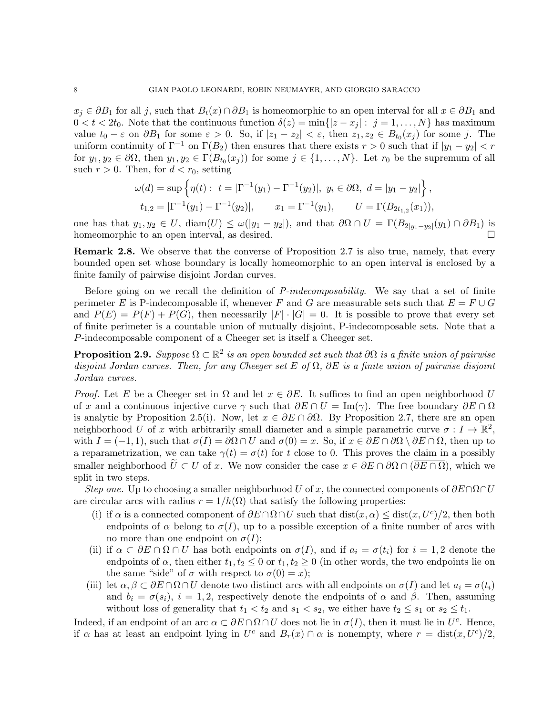$x_i \in \partial B_1$  for all j, such that  $B_t(x) \cap \partial B_1$  is homeomorphic to an open interval for all  $x \in \partial B_1$  and  $0 < t < 2t_0$ . Note that the continuous function  $\delta(z) = \min\{|z - x_j| : j = 1, \ldots, N\}$  has maximum value  $t_0 - \varepsilon$  on  $\partial B_1$  for some  $\varepsilon > 0$ . So, if  $|z_1 - z_2| < \varepsilon$ , then  $z_1, z_2 \in B_{t_0}(x_j)$  for some j. The uniform continuity of  $\Gamma^{-1}$  on  $\Gamma(B_2)$  then ensures that there exists  $r > 0$  such that if  $|y_1 - y_2| < r$ for  $y_1, y_2 \in \partial \Omega$ , then  $y_1, y_2 \in \Gamma(B_{t_0}(x_j))$  for some  $j \in \{1, ..., N\}$ . Let  $r_0$  be the supremum of all such  $r > 0$ . Then, for  $d < r_0$ , setting

$$
\omega(d) = \sup \left\{ \eta(t) : t = |\Gamma^{-1}(y_1) - \Gamma^{-1}(y_2)|, y_i \in \partial \Omega, d = |y_1 - y_2| \right\},
$$
  
\n
$$
t_{1,2} = |\Gamma^{-1}(y_1) - \Gamma^{-1}(y_2)|, \quad x_1 = \Gamma^{-1}(y_1), \quad U = \Gamma(B_{2t_{1,2}}(x_1)),
$$

one has that  $y_1, y_2 \in U$ ,  $\text{diam}(U) \leq \omega(|y_1 - y_2|)$ , and that  $\partial \Omega \cap U = \Gamma(B_{2|y_1-y_2|}(y_1) \cap \partial B_1)$  is homeomorphic to an open interval, as desired.

**Remark 2.8.** We observe that the converse of Proposition 2.7 is also true, namely, that every bounded open set whose boundary is locally homeomorphic to an open interval is enclosed by a finite family of pairwise disjoint Jordan curves.

Before going on we recall the definition of *P-indecomposability*. We say that a set of finite perimeter E is P-indecomposable if, whenever F and G are measurable sets such that  $E = F \cup G$ and  $P(E) = P(F) + P(G)$ , then necessarily  $|F| \cdot |G| = 0$ . It is possible to prove that every set of finite perimeter is a countable union of mutually disjoint, P-indecomposable sets. Note that a P-indecomposable component of a Cheeger set is itself a Cheeger set.

**Proposition 2.9.** Suppose  $\Omega \subset \mathbb{R}^2$  is an open bounded set such that  $\partial\Omega$  is a finite union of pairwise disjoint Jordan curves. Then, for any Cheeger set E of  $\Omega$ ,  $\partial E$  is a finite union of pairwise disjoint Jordan curves.

*Proof.* Let E be a Cheeger set in  $\Omega$  and let  $x \in \partial E$ . It suffices to find an open neighborhood U of x and a continuous injective curve  $\gamma$  such that  $\partial E \cap U = \text{Im}(\gamma)$ . The free boundary  $\partial E \cap \Omega$ is analytic by Proposition 2.5(i). Now, let  $x \in \partial E \cap \partial \Omega$ . By Proposition 2.7, there are an open neighborhood U of x with arbitrarily small diameter and a simple parametric curve  $\sigma: I \to \mathbb{R}^2$ , with  $I = (-1, 1)$ , such that  $\sigma(I) = \partial \Omega \cap U$  and  $\sigma(0) = x$ . So, if  $x \in \partial E \cap \partial \Omega \setminus \partial E \cap \Omega$ , then up to a reparametrization, we can take  $\gamma(t) = \sigma(t)$  for t close to 0. This proves the claim in a possibly smaller neighborhood  $\tilde{U} \subset U$  of x. We now consider the case  $x \in \partial E \cap \partial \Omega \cap (\overline{\partial E \cap \Omega})$ , which we split in two steps.

Step one. Up to choosing a smaller neighborhood U of x, the connected components of  $\partial E \cap \Omega \cap U$ are circular arcs with radius  $r = 1/h(\Omega)$  that satisfy the following properties:

- (i) if  $\alpha$  is a connected component of  $\partial E \cap \Omega \cap U$  such that  $dist(x, \alpha) \leq dist(x, U^c)/2$ , then both endpoints of  $\alpha$  belong to  $\sigma(I)$ , up to a possible exception of a finite number of arcs with no more than one endpoint on  $\sigma(I)$ ;
- (ii) if  $\alpha \subset \partial E \cap \Omega \cap U$  has both endpoints on  $\sigma(I)$ , and if  $a_i = \sigma(t_i)$  for  $i = 1, 2$  denote the endpoints of  $\alpha$ , then either  $t_1, t_2 \leq 0$  or  $t_1, t_2 \geq 0$  (in other words, the two endpoints lie on the same "side" of  $\sigma$  with respect to  $\sigma(0) = x$ );
- (iii) let  $\alpha, \beta \subset \partial E \cap \Omega \cap U$  denote two distinct arcs with all endpoints on  $\sigma(I)$  and let  $a_i = \sigma(t_i)$ and  $b_i = \sigma(s_i)$ ,  $i = 1, 2$ , respectively denote the endpoints of  $\alpha$  and  $\beta$ . Then, assuming without loss of generality that  $t_1 < t_2$  and  $s_1 < s_2$ , we either have  $t_2 \leq s_1$  or  $s_2 \leq t_1$ .

Indeed, if an endpoint of an arc  $\alpha \subset \partial E \cap \Omega \cap U$  does not lie in  $\sigma(I)$ , then it must lie in  $U^c$ . Hence, if  $\alpha$  has at least an endpoint lying in  $U^c$  and  $B_r(x) \cap \alpha$  is nonempty, where  $r = \text{dist}(x, U^c)/2$ ,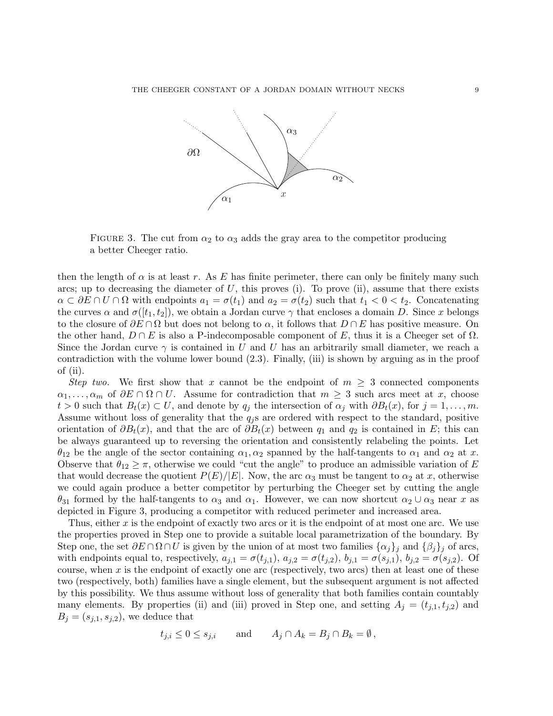

FIGURE 3. The cut from  $\alpha_2$  to  $\alpha_3$  adds the gray area to the competitor producing a better Cheeger ratio.

then the length of  $\alpha$  is at least r. As E has finite perimeter, there can only be finitely many such arcs; up to decreasing the diameter of  $U$ , this proves (i). To prove (ii), assume that there exists  $\alpha \subset \partial E \cap U \cap \Omega$  with endpoints  $a_1 = \sigma(t_1)$  and  $a_2 = \sigma(t_2)$  such that  $t_1 < 0 < t_2$ . Concatenating the curves  $\alpha$  and  $\sigma([t_1, t_2])$ , we obtain a Jordan curve  $\gamma$  that encloses a domain D. Since x belongs to the closure of  $\partial E \cap \Omega$  but does not belong to  $\alpha$ , it follows that  $D \cap E$  has positive measure. On the other hand,  $D \cap E$  is also a P-indecomposable component of E, thus it is a Cheeger set of  $\Omega$ . Since the Jordan curve  $\gamma$  is contained in U and U has an arbitrarily small diameter, we reach a contradiction with the volume lower bound (2.3). Finally, (iii) is shown by arguing as in the proof of (ii).

Step two. We first show that x cannot be the endpoint of  $m \geq 3$  connected components  $\alpha_1, \ldots, \alpha_m$  of  $\partial E \cap \Omega \cap U$ . Assume for contradiction that  $m \geq 3$  such arcs meet at x, choose  $t > 0$  such that  $B_t(x) \subset U$ , and denote by  $q_j$  the intersection of  $\alpha_j$  with  $\partial B_t(x)$ , for  $j = 1, \ldots, m$ . Assume without loss of generality that the  $q_i$  s are ordered with respect to the standard, positive orientation of  $\partial B_t(x)$ , and that the arc of  $\partial B_t(x)$  between  $q_1$  and  $q_2$  is contained in E; this can be always guaranteed up to reversing the orientation and consistently relabeling the points. Let  $\theta_{12}$  be the angle of the sector containing  $\alpha_1, \alpha_2$  spanned by the half-tangents to  $\alpha_1$  and  $\alpha_2$  at x. Observe that  $\theta_{12} \geq \pi$ , otherwise we could "cut the angle" to produce an admissible variation of E that would decrease the quotient  $P(E)/|E|$ . Now, the arc  $\alpha_3$  must be tangent to  $\alpha_2$  at x, otherwise we could again produce a better competitor by perturbing the Cheeger set by cutting the angle  $\theta_{31}$  formed by the half-tangents to  $\alpha_3$  and  $\alpha_1$ . However, we can now shortcut  $\alpha_2 \cup \alpha_3$  near x as depicted in Figure 3, producing a competitor with reduced perimeter and increased area.

Thus, either x is the endpoint of exactly two arcs or it is the endpoint of at most one arc. We use the properties proved in Step one to provide a suitable local parametrization of the boundary. By Step one, the set  $\partial E \cap \Omega \cap U$  is given by the union of at most two families  $\{\alpha_j\}_j$  and  $\{\beta_j\}_j$  of arcs, with endpoints equal to, respectively,  $a_{j,1} = \sigma(t_{j,1}), a_{j,2} = \sigma(t_{j,2}), b_{j,1} = \sigma(s_{j,1}), b_{j,2} = \sigma(s_{j,2}).$  Of course, when  $x$  is the endpoint of exactly one arc (respectively, two arcs) then at least one of these two (respectively, both) families have a single element, but the subsequent argument is not affected by this possibility. We thus assume without loss of generality that both families contain countably many elements. By properties (ii) and (iii) proved in Step one, and setting  $A_j = (t_{j,1}, t_{j,2})$  and  $B_j = (s_{j,1}, s_{j,2}),$  we deduce that

$$
t_{j,i} \leq 0 \leq s_{j,i}
$$
 and  $A_j \cap A_k = B_j \cap B_k = \emptyset$ ,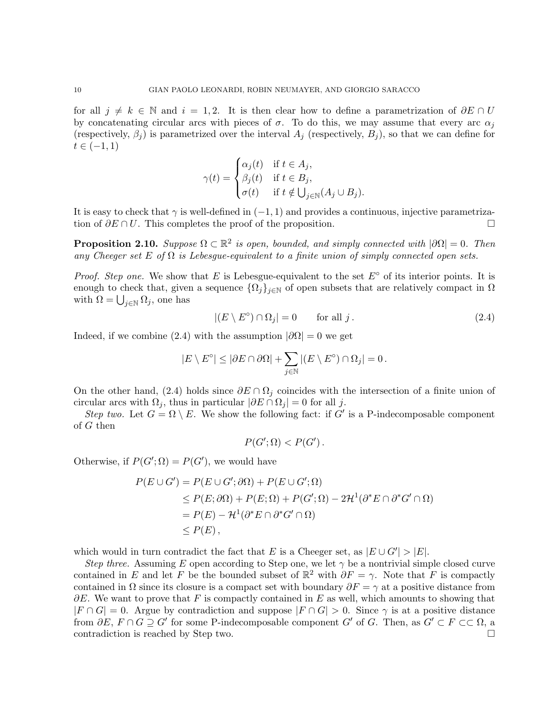for all  $j \neq k \in \mathbb{N}$  and  $i = 1, 2$ . It is then clear how to define a parametrization of  $\partial E \cap U$ by concatenating circular arcs with pieces of  $\sigma$ . To do this, we may assume that every arc  $\alpha_i$ (respectively,  $\beta_i$ ) is parametrized over the interval  $A_i$  (respectively,  $B_i$ ), so that we can define for  $t \in (-1, 1)$ 

$$
\gamma(t) = \begin{cases} \alpha_j(t) & \text{if } t \in A_j, \\ \beta_j(t) & \text{if } t \in B_j, \\ \sigma(t) & \text{if } t \notin \bigcup_{j \in \mathbb{N}} (A_j \cup B_j). \end{cases}
$$

It is easy to check that  $\gamma$  is well-defined in  $(-1, 1)$  and provides a continuous, injective parametrization of  $\partial E \cap U$ . This completes the proof of the proposition tion of  $\partial E \cap U$ . This completes the proof of the proposition.

**Proposition 2.10.** Suppose  $\Omega \subset \mathbb{R}^2$  is open, bounded, and simply connected with  $|\partial \Omega| = 0$ . Then any Cheeger set E of  $\Omega$  is Lebesgue-equivalent to a finite union of simply connected open sets.

*Proof. Step one.* We show that E is Lebesgue-equivalent to the set  $E<sup>°</sup>$  of its interior points. It is enough to check that, given a sequence  $\{\Omega_i\}_{i\in\mathbb{N}}$  of open subsets that are relatively compact in  $\Omega$ with  $\Omega = \bigcup_{j \in \mathbb{N}} \Omega_j$ , one has

$$
|(E \setminus E^{\circ}) \cap \Omega_j| = 0 \qquad \text{for all } j. \tag{2.4}
$$

Indeed, if we combine (2.4) with the assumption  $|\partial\Omega|=0$  we get

$$
|E \setminus E^{\circ}| \leq |\partial E \cap \partial \Omega| + \sum_{j \in \mathbb{N}} |(E \setminus E^{\circ}) \cap \Omega_j| = 0.
$$

On the other hand, (2.4) holds since  $\partial E \cap \Omega_i$  coincides with the intersection of a finite union of circular arcs with  $\Omega_i$ , thus in particular  $|\partial E \cap \Omega_i| = 0$  for all j.

Step two. Let  $G = \Omega \setminus E$ . We show the following fact: if G' is a P-indecomposable component of  $G$  then

$$
P(G';\Omega) < P(G')\,.
$$

Otherwise, if  $P(G'; \Omega) = P(G')$ , we would have

$$
P(E \cup G') = P(E \cup G'; \partial \Omega) + P(E \cup G'; \Omega)
$$
  
\n
$$
\leq P(E; \partial \Omega) + P(E; \Omega) + P(G'; \Omega) - 2\mathcal{H}^1(\partial^* E \cap \partial^* G' \cap \Omega)
$$
  
\n
$$
= P(E) - \mathcal{H}^1(\partial^* E \cap \partial^* G' \cap \Omega)
$$
  
\n
$$
\leq P(E),
$$

which would in turn contradict the fact that E is a Cheeger set, as  $|E \cup G'| > |E|$ .

Step three. Assuming E open according to Step one, we let  $\gamma$  be a nontrivial simple closed curve contained in E and let F be the bounded subset of  $\mathbb{R}^2$  with  $\partial F = \gamma$ . Note that F is compactly contained in  $\Omega$  since its closure is a compact set with boundary  $\partial F = \gamma$  at a positive distance from  $\partial E$ . We want to prove that F is compactly contained in E as well, which amounts to showing that  $|F \cap G| = 0$ . Argue by contradiction and suppose  $|F \cap G| > 0$ . Since  $\gamma$  is at a positive distance from  $\partial E$ ,  $F \cap G \supseteq G'$  for some P-indecomposable component G' of G. Then, as  $G' \subset F \subset\subset \Omega$ , a contradiction is reached by Step two.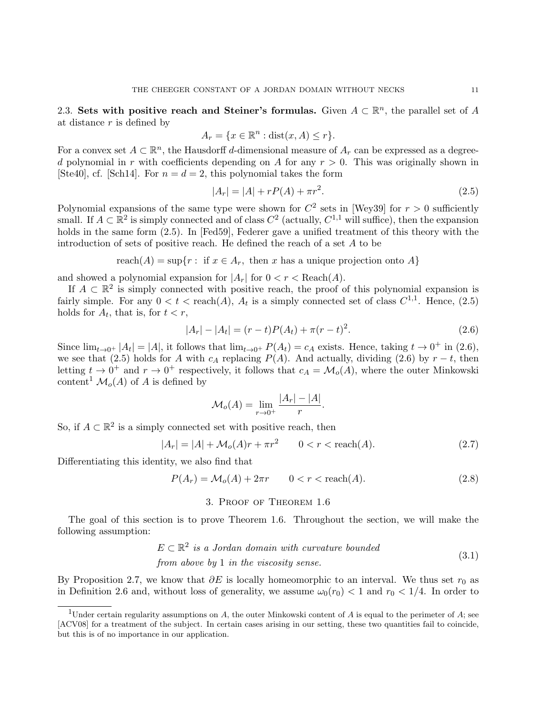2.3. Sets with positive reach and Steiner's formulas. Given  $A \subset \mathbb{R}^n$ , the parallel set of A at distance  $r$  is defined by

$$
A_r = \{ x \in \mathbb{R}^n : \text{dist}(x, A) \le r \}.
$$

For a convex set  $A \subset \mathbb{R}^n$ , the Hausdorff d-dimensional measure of  $A_r$  can be expressed as a degreed polynomial in r with coefficients depending on A for any  $r > 0$ . This was originally shown in [Ste40], cf. [Sch14]. For  $n = d = 2$ , this polynomial takes the form

$$
|A_r| = |A| + rP(A) + \pi r^2.
$$
\n(2.5)

Polynomial expansions of the same type were shown for  $C^2$  sets in [Wey39] for  $r > 0$  sufficiently small. If  $A \subset \mathbb{R}^2$  is simply connected and of class  $C^2$  (actually,  $C^{1,1}$  will suffice), then the expansion holds in the same form (2.5). In [Fed59], Federer gave a unified treatment of this theory with the introduction of sets of positive reach. He defined the reach of a set A to be

reach $(A)$  = sup $\{r : \text{ if } x \in A_r, \text{ then } x \text{ has a unique projection onto } A\}$ 

and showed a polynomial expansion for  $|A_r|$  for  $0 < r <$  Reach $(A)$ .

If  $A \subset \mathbb{R}^2$  is simply connected with positive reach, the proof of this polynomial expansion is fairly simple. For any  $0 < t < \text{reach}(A)$ ,  $A_t$  is a simply connected set of class  $C^{1,1}$ . Hence,  $(2.5)$ holds for  $A_t$ , that is, for  $t < r$ ,

$$
|A_r| - |A_t| = (r - t)P(A_t) + \pi(r - t)^2.
$$
\n(2.6)

Since  $\lim_{t\to 0^+} |A_t| = |A|$ , it follows that  $\lim_{t\to 0^+} P(A_t) = c_A$  exists. Hence, taking  $t \to 0^+$  in (2.6), we see that (2.5) holds for A with  $c_A$  replacing P(A). And actually, dividing (2.6) by  $r - t$ , then letting  $t \to 0^+$  and  $r \to 0^+$  respectively, it follows that  $c_A = \mathcal{M}_o(A)$ , where the outer Minkowski content<sup>1</sup>  $\mathcal{M}_o(A)$  of A is defined by

$$
\mathcal{M}_o(A) = \lim_{r \to 0^+} \frac{|A_r| - |A|}{r}.
$$

So, if  $A \subset \mathbb{R}^2$  is a simply connected set with positive reach, then

$$
|A_r| = |A| + \mathcal{M}_o(A)r + \pi r^2 \qquad 0 < r < \text{reach}(A). \tag{2.7}
$$

Differentiating this identity, we also find that

$$
P(A_r) = \mathcal{M}_o(A) + 2\pi r \qquad 0 < r < \text{reach}(A). \tag{2.8}
$$

# 3. Proof of Theorem 1.6

The goal of this section is to prove Theorem 1.6. Throughout the section, we will make the following assumption:

$$
E \subset \mathbb{R}^2
$$
 is a Jordan domain with curvature bounded  
from above by 1 in the viscosity sense. (3.1)

By Proposition 2.7, we know that  $\partial E$  is locally homeomorphic to an interval. We thus set  $r_0$  as in Definition 2.6 and, without loss of generality, we assume  $\omega_0(r_0) < 1$  and  $r_0 < 1/4$ . In order to

<sup>&</sup>lt;sup>1</sup>Under certain regularity assumptions on A, the outer Minkowski content of A is equal to the perimeter of A; see [ACV08] for a treatment of the subject. In certain cases arising in our setting, these two quantities fail to coincide, but this is of no importance in our application.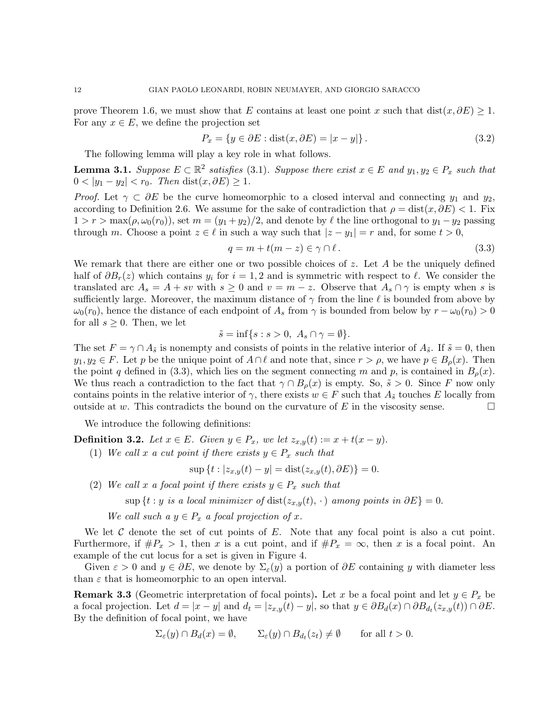prove Theorem 1.6, we must show that E contains at least one point x such that dist(x, $\partial E$ ) ≥ 1. For any  $x \in E$ , we define the projection set

$$
P_x = \{ y \in \partial E : \text{dist}(x, \partial E) = |x - y| \}.
$$
\n(3.2)

The following lemma will play a key role in what follows.

**Lemma 3.1.** Suppose  $E \subset \mathbb{R}^2$  satisfies (3.1). Suppose there exist  $x \in E$  and  $y_1, y_2 \in P_x$  such that  $0 < |y_1 - y_2| < r_0$ . Then dist $(x, \partial E) \ge 1$ .

*Proof.* Let  $\gamma \subset \partial E$  be the curve homeomorphic to a closed interval and connecting  $y_1$  and  $y_2$ , according to Definition 2.6. We assume for the sake of contradiction that  $\rho = \text{dist}(x, \partial E) < 1$ . Fix  $1 > r > \max(\rho, \omega_0(r_0))$ , set  $m = (y_1 + y_2)/2$ , and denote by  $\ell$  the line orthogonal to  $y_1 - y_2$  passing through m. Choose a point  $z \in \ell$  in such a way such that  $|z - y_1| = r$  and, for some  $t > 0$ ,

$$
q = m + t(m - z) \in \gamma \cap \ell. \tag{3.3}
$$

We remark that there are either one or two possible choices of  $z$ . Let  $A$  be the uniquely defined half of  $\partial B_r(z)$  which contains  $y_i$  for  $i = 1, 2$  and is symmetric with respect to  $\ell$ . We consider the translated arc  $A_s = A + sv$  with  $s \geq 0$  and  $v = m - z$ . Observe that  $A_s \cap \gamma$  is empty when s is sufficiently large. Moreover, the maximum distance of  $\gamma$  from the line  $\ell$  is bounded from above by  $\omega_0(r_0)$ , hence the distance of each endpoint of  $A_s$  from  $\gamma$  is bounded from below by  $r - \omega_0(r_0) > 0$ for all  $s \geq 0$ . Then, we let

$$
\tilde{s} = \inf\{s : s > 0, \ A_s \cap \gamma = \emptyset\}.
$$

The set  $F = \gamma \cap A_{\tilde{s}}$  is nonempty and consists of points in the relative interior of  $A_{\tilde{s}}$ . If  $\tilde{s} = 0$ , then  $y_1, y_2 \in F$ . Let p be the unique point of  $A \cap \ell$  and note that, since  $r > \rho$ , we have  $p \in B_\rho(x)$ . Then the point q defined in (3.3), which lies on the segment connecting m and p, is contained in  $B_{\rho}(x)$ . We thus reach a contradiction to the fact that  $\gamma \cap B_{\rho}(x)$  is empty. So,  $\tilde{s} > 0$ . Since F now only contains points in the relative interior of  $\gamma$ , there exists  $w \in F$  such that  $A_{\tilde{s}}$  touches E locally from outside at w. This contradicts the bound on the curvature of E in the viscosity sense. outside at w. This contradicts the bound on the curvature of  $E$  in the viscosity sense.

We introduce the following definitions:

**Definition 3.2.** Let  $x \in E$ . Given  $y \in P_x$ , we let  $z_{x,y}(t) := x + t(x - y)$ .

(1) We call x a cut point if there exists  $y \in P_x$  such that

$$
\sup \{ t : |z_{x,y}(t) - y| = \text{dist}(z_{x,y}(t), \partial E) \} = 0.
$$

(2) We call x a focal point if there exists  $y \in P_x$  such that

sup {t : y is a local minimizer of dist( $z_{x,y}(t)$ , ·) among points in  $\partial E$ } = 0.

We call such a  $y \in P_x$  a focal projection of x.

We let  $\mathcal C$  denote the set of cut points of  $E$ . Note that any focal point is also a cut point. Furthermore, if  $\#P_x > 1$ , then x is a cut point, and if  $\#P_x = \infty$ , then x is a focal point. An example of the cut locus for a set is given in Figure 4.

Given  $\varepsilon > 0$  and  $y \in \partial E$ , we denote by  $\Sigma_{\varepsilon}(y)$  a portion of  $\partial E$  containing y with diameter less than  $\varepsilon$  that is homeomorphic to an open interval.

**Remark 3.3** (Geometric interpretation of focal points). Let x be a focal point and let  $y \in P_x$  be a focal projection. Let  $d = |x - y|$  and  $d_t = |z_{x,y}(t) - y|$ , so that  $y \in \partial B_d(x) \cap \partial B_{d_t}(z_{x,y}(t)) \cap \partial E$ . By the definition of focal point, we have

$$
\Sigma_{\varepsilon}(y) \cap B_d(x) = \emptyset, \qquad \Sigma_{\varepsilon}(y) \cap B_{d_t}(z_t) \neq \emptyset \qquad \text{for all } t > 0.
$$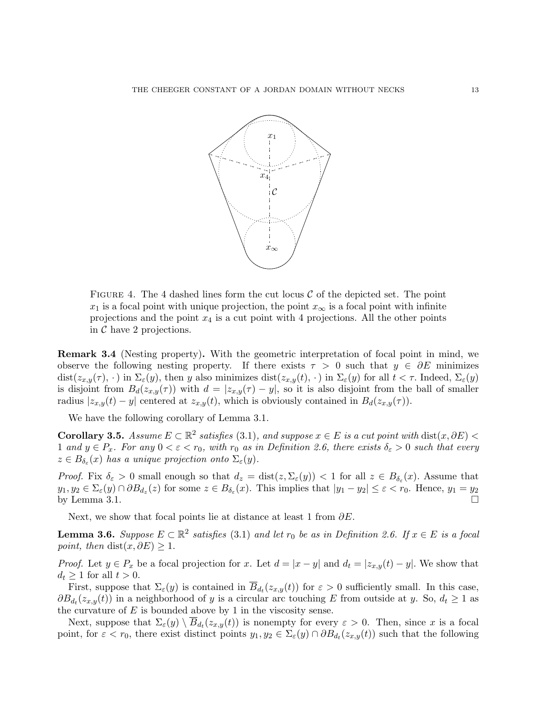

FIGURE 4. The 4 dashed lines form the cut locus  $\mathcal C$  of the depicted set. The point  $x_1$  is a focal point with unique projection, the point  $x_{\infty}$  is a focal point with infinite projections and the point  $x_4$  is a cut point with 4 projections. All the other points in  $\mathcal C$  have 2 projections.

Remark 3.4 (Nesting property). With the geometric interpretation of focal point in mind, we observe the following nesting property. If there exists  $\tau > 0$  such that  $y \in \partial E$  minimizes  $dist(z_{x,y}(\tau),\cdot)$  in  $\Sigma_{\varepsilon}(y)$ , then y also minimizes  $dist(z_{x,y}(t),\cdot)$  in  $\Sigma_{\varepsilon}(y)$  for all  $t < \tau$ . Indeed,  $\Sigma_{\varepsilon}(y)$ is disjoint from  $B_d(z_{x,y}(\tau))$  with  $d = |z_{x,y}(\tau) - y|$ , so it is also disjoint from the ball of smaller radius  $|z_{x,y}(t) - y|$  centered at  $z_{x,y}(t)$ , which is obviously contained in  $B_d(z_{x,y}(\tau))$ .

We have the following corollary of Lemma 3.1.

Corollary 3.5. Assume  $E \subset \mathbb{R}^2$  satisfies (3.1), and suppose  $x \in E$  is a cut point with  $dist(x, \partial E)$  < 1 and  $y \in P_x$ . For any  $0 < \varepsilon < r_0$ , with  $r_0$  as in Definition 2.6, there exists  $\delta_{\varepsilon} > 0$  such that every  $z \in B_{\delta_{\varepsilon}}(x)$  has a unique projection onto  $\Sigma_{\varepsilon}(y)$ .

*Proof.* Fix  $\delta_{\varepsilon} > 0$  small enough so that  $d_z = \text{dist}(z, \Sigma_{\varepsilon}(y)) < 1$  for all  $z \in B_{\delta_{\varepsilon}}(x)$ . Assume that  $y_1, y_2 \in \Sigma_{\varepsilon}(y) \cap \partial B_{d_z}(z)$  for some  $z \in B_{\delta_{\varepsilon}}(x)$ . This implies that  $|y_1 - y_2| \le \varepsilon < r_0$ . Hence,  $y_1 = y_2$ by Lemma 3.1.  $\Box$ 

Next, we show that focal points lie at distance at least 1 from  $\partial E$ .

**Lemma 3.6.** Suppose  $E \subset \mathbb{R}^2$  satisfies (3.1) and let  $r_0$  be as in Definition 2.6. If  $x \in E$  is a focal point, then dist $(x, \partial E) \geq 1$ .

*Proof.* Let  $y \in P_x$  be a focal projection for x. Let  $d = |x - y|$  and  $d_t = |z_{x,y}(t) - y|$ . We show that  $d_t \geq 1$  for all  $t > 0$ .

First, suppose that  $\Sigma_{\varepsilon}(y)$  is contained in  $B_{d_t}(z_{x,y}(t))$  for  $\varepsilon > 0$  sufficiently small. In this case,  $\partial B_{d_t}(z_{x,y}(t))$  in a neighborhood of y is a circular arc touching E from outside at y. So,  $d_t \geq 1$  as the curvature of  $E$  is bounded above by 1 in the viscosity sense.

Next, suppose that  $\Sigma_{\varepsilon}(y) \setminus \overline{B}_{d_t}(z_{x,y}(t))$  is nonempty for every  $\varepsilon > 0$ . Then, since x is a focal point, for  $\varepsilon < r_0$ , there exist distinct points  $y_1, y_2 \in \Sigma_{\varepsilon}(y) \cap \partial B_{d_t}(z_{x,y}(t))$  such that the following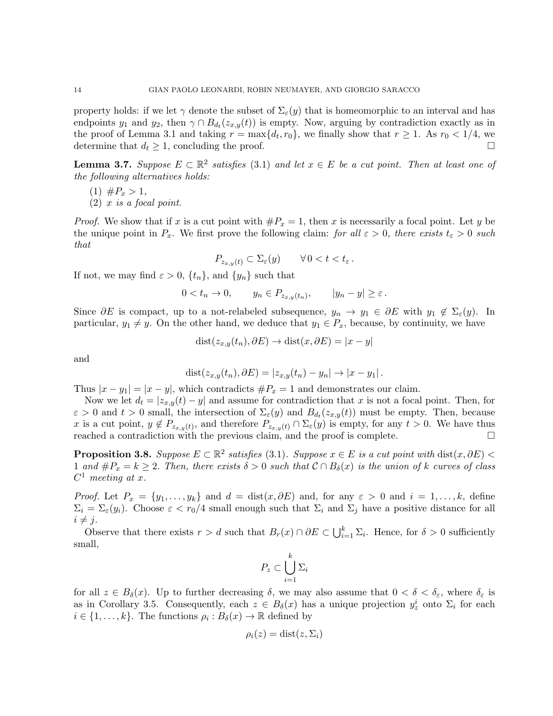property holds: if we let  $\gamma$  denote the subset of  $\Sigma_{\varepsilon}(y)$  that is homeomorphic to an interval and has endpoints  $y_1$  and  $y_2$ , then  $\gamma \cap B_{d_t}(z_{x,y}(t))$  is empty. Now, arguing by contradiction exactly as in the proof of Lemma 3.1 and taking  $r = \max\{d_t, r_0\}$ , we finally show that  $r \ge 1$ . As  $r_0 < 1/4$ , we determine that  $d_t \geq 1$ , concluding the proof.

**Lemma 3.7.** Suppose  $E \subset \mathbb{R}^2$  satisfies (3.1) and let  $x \in E$  be a cut point. Then at least one of the following alternatives holds:

- $(1)$   $#P_x > 1$ ,
- $(2)$  x is a focal point.

*Proof.* We show that if x is a cut point with  $\#P_x = 1$ , then x is necessarily a focal point. Let y be the unique point in  $P_x$ . We first prove the following claim: for all  $\varepsilon > 0$ , there exists  $t_{\varepsilon} > 0$  such that

$$
P_{z_{x,y}(t)} \subset \Sigma_{\varepsilon}(y) \qquad \forall \, 0 < t < t_{\varepsilon} \, .
$$

If not, we may find  $\varepsilon > 0$ ,  $\{t_n\}$ , and  $\{y_n\}$  such that

$$
0 < t_n \to 0, \qquad y_n \in P_{z_{x,y}(t_n)}, \qquad |y_n - y| \ge \varepsilon.
$$

Since  $\partial E$  is compact, up to a not-relabeled subsequence,  $y_n \to y_1 \in \partial E$  with  $y_1 \notin \Sigma_{\varepsilon}(y)$ . In particular,  $y_1 \neq y$ . On the other hand, we deduce that  $y_1 \in P_x$ , because, by continuity, we have

$$
dist(z_{x,y}(t_n), \partial E) \to dist(x, \partial E) = |x - y|
$$

and

$$
dist(z_{x,y}(t_n), \partial E) = |z_{x,y}(t_n) - y_n| \rightarrow |x - y_1|.
$$

Thus  $|x - y_1| = |x - y|$ , which contradicts  $\#P_x = 1$  and demonstrates our claim.

Now we let  $d_t = |z_{x,y}(t) - y|$  and assume for contradiction that x is not a focal point. Then, for  $\varepsilon > 0$  and  $t > 0$  small, the intersection of  $\Sigma_{\varepsilon}(y)$  and  $B_{d_t}(z_{x,y}(t))$  must be empty. Then, because x is a cut point,  $y \notin P_{z_{x,y}(t)}$ , and therefore  $P_{z_{x,y}(t)} \cap \Sigma_{\varepsilon}(y)$  is empty, for any  $t > 0$ . We have thus reached a contradiction with the previous claim, and the proof is complete.

**Proposition 3.8.** Suppose  $E \subset \mathbb{R}^2$  satisfies (3.1). Suppose  $x \in E$  is a cut point with  $dist(x, \partial E)$ 1 and  $\#P_x = k \geq 2$ . Then, there exists  $\delta > 0$  such that  $\mathcal{C} \cap B_{\delta}(x)$  is the union of k curves of class  $C^1$  meeting at x.

*Proof.* Let  $P_x = \{y_1, \ldots, y_k\}$  and  $d = \text{dist}(x, \partial E)$  and, for any  $\varepsilon > 0$  and  $i = 1, \ldots, k$ , define  $\Sigma_i = \Sigma_{\varepsilon}(y_i)$ . Choose  $\varepsilon < r_0/4$  small enough such that  $\Sigma_i$  and  $\Sigma_j$  have a positive distance for all  $i \neq j$ .

Observe that there exists  $r > d$  such that  $B_r(x) \cap \partial E \subset \bigcup_{i=1}^k \Sigma_i$ . Hence, for  $\delta > 0$  sufficiently small,

$$
P_z \subset \bigcup_{i=1}^k \Sigma_i
$$

for all  $z \in B_\delta(x)$ . Up to further decreasing  $\delta$ , we may also assume that  $0 < \delta < \delta_{\varepsilon}$ , where  $\delta_{\varepsilon}$  is as in Corollary 3.5. Consequently, each  $z \in B_{\delta}(x)$  has a unique projection  $y_z^i$  onto  $\Sigma_i$  for each  $i \in \{1, \ldots, k\}$ . The functions  $\rho_i : B_\delta(x) \to \mathbb{R}$  defined by

$$
\rho_i(z) = \text{dist}(z, \Sigma_i)
$$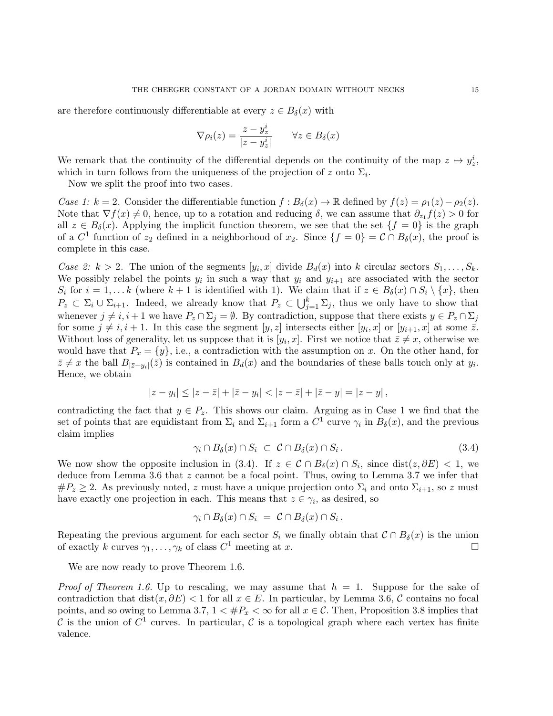are therefore continuously differentiable at every  $z \in B_\delta(x)$  with

$$
\nabla \rho_i(z) = \frac{z - y_z^i}{|z - y_z^i|} \qquad \forall z \in B_\delta(x)
$$

We remark that the continuity of the differential depends on the continuity of the map  $z \mapsto y_z^i$ , which in turn follows from the uniqueness of the projection of z onto  $\Sigma_i$ .

Now we split the proof into two cases.

Case 1: k = 2. Consider the differentiable function  $f : B_\delta(x) \to \mathbb{R}$  defined by  $f(z) = \rho_1(z) - \rho_2(z)$ . Note that  $\nabla f(x) \neq 0$ , hence, up to a rotation and reducing  $\delta$ , we can assume that  $\partial_{z_1} f(z) > 0$  for all  $z \in B_\delta(x)$ . Applying the implicit function theorem, we see that the set  $\{f = 0\}$  is the graph of a  $C^1$  function of  $z_2$  defined in a neighborhood of  $x_2$ . Since  $\{f = 0\} = C \cap B_\delta(x)$ , the proof is complete in this case.

Case 2:  $k > 2$ . The union of the segments  $[y_i, x]$  divide  $B_d(x)$  into k circular sectors  $S_1, \ldots, S_k$ . We possibly relabel the points  $y_i$  in such a way that  $y_i$  and  $y_{i+1}$  are associated with the sector  $S_i$  for  $i = 1, \ldots k$  (where  $k + 1$  is identified with 1). We claim that if  $z \in B_\delta(x) \cap S_i \setminus \{x\}$ , then  $P_z \subset \Sigma_i \cup \Sigma_{i+1}$ . Indeed, we already know that  $P_z \subset \bigcup_{j=1}^k \Sigma_j$ , thus we only have to show that whenever  $j \neq i, i + 1$  we have  $P_z \cap \Sigma_j = \emptyset$ . By contradiction, suppose that there exists  $y \in P_z \cap \Sigma_j$ for some  $j \neq i, i + 1$ . In this case the segment  $[y, z]$  intersects either  $[y_i, x]$  or  $[y_{i+1}, x]$  at some  $\overline{z}$ . Without loss of generality, let us suppose that it is  $[y_i, x]$ . First we notice that  $\overline{z} \neq x$ , otherwise we would have that  $P_x = \{y\}$ , i.e., a contradiction with the assumption on x. On the other hand, for  $\bar{z} \neq x$  the ball  $B_{|\bar{z}-y_i|}(\bar{z})$  is contained in  $B_d(x)$  and the boundaries of these balls touch only at  $y_i$ . Hence, we obtain

$$
|z-y_i| \leq |z-\bar{z}| + |\bar{z}-y_i| < |z-\bar{z}| + |\bar{z}-y| = |z-y|,
$$

contradicting the fact that  $y \in P_z$ . This shows our claim. Arguing as in Case 1 we find that the set of points that are equidistant from  $\Sigma_i$  and  $\Sigma_{i+1}$  form a  $C^1$  curve  $\gamma_i$  in  $B_\delta(x)$ , and the previous claim implies

$$
\gamma_i \cap B_{\delta}(x) \cap S_i \ \subset \ \mathcal{C} \cap B_{\delta}(x) \cap S_i \,. \tag{3.4}
$$

We now show the opposite inclusion in (3.4). If  $z \in \mathcal{C} \cap B_{\delta}(x) \cap S_i$ , since  $dist(z, \partial E) < 1$ , we deduce from Lemma 3.6 that z cannot be a focal point. Thus, owing to Lemma 3.7 we infer that  $\#P_z \geq 2$ . As previously noted, z must have a unique projection onto  $\Sigma_i$  and onto  $\Sigma_{i+1}$ , so z must have exactly one projection in each. This means that  $z \in \gamma_i$ , as desired, so

$$
\gamma_i \cap B_{\delta}(x) \cap S_i \ = \ \mathcal{C} \cap B_{\delta}(x) \cap S_i \, .
$$

Repeating the previous argument for each sector  $S_i$  we finally obtain that  $C \cap B_\delta(x)$  is the union of exactly k curves  $\gamma_1, \ldots, \gamma_k$  of class  $C^1$  meeting at x. of exactly k curves  $\gamma_1, \ldots, \gamma_k$  of class  $C^1$  meeting at x.

We are now ready to prove Theorem 1.6.

*Proof of Theorem 1.6.* Up to rescaling, we may assume that  $h = 1$ . Suppose for the sake of contradiction that dist(x,  $\partial E$ ) < 1 for all  $x \in \overline{E}$ . In particular, by Lemma 3.6, C contains no focal points, and so owing to Lemma 3.7,  $1 < \#P_x < \infty$  for all  $x \in C$ . Then, Proposition 3.8 implies that C is the union of  $C^1$  curves. In particular, C is a topological graph where each vertex has finite valence.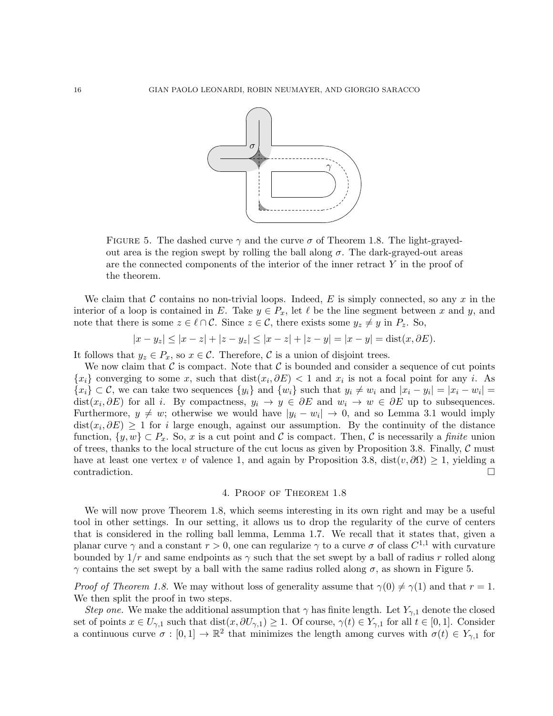

FIGURE 5. The dashed curve  $\gamma$  and the curve  $\sigma$  of Theorem 1.8. The light-grayedout area is the region swept by rolling the ball along  $\sigma$ . The dark-grayed-out areas are the connected components of the interior of the inner retract  $Y$  in the proof of the theorem.

We claim that C contains no non-trivial loops. Indeed, E is simply connected, so any x in the interior of a loop is contained in E. Take  $y \in P_x$ , let  $\ell$  be the line segment between x and y, and note that there is some  $z \in \ell \cap C$ . Since  $z \in \mathcal{C}$ , there exists some  $y_z \neq y$  in  $P_z$ . So,

 $|x - y_z| \le |x - z| + |z - y_z| \le |x - z| + |z - y| = |x - y| = \text{dist}(x, \partial E).$ 

It follows that  $y_z \in P_x$ , so  $x \in C$ . Therefore, C is a union of disjoint trees.

We now claim that  $\mathcal C$  is compact. Note that  $\mathcal C$  is bounded and consider a sequence of cut points  ${x_i}$  converging to some x, such that  $dist(x_i, \partial E) < 1$  and  $x_i$  is not a focal point for any i. As  ${x_i} \subset C$ , we can take two sequences  ${y_i}$  and  ${w_i}$  such that  $y_i \neq w_i$  and  $|x_i - y_i| = |x_i - w_i|$ dist $(x_i, \partial E)$  for all i. By compactness,  $y_i \to y \in \partial E$  and  $w_i \to w \in \partial E$  up to subsequences. Furthermore,  $y \neq w$ ; otherwise we would have  $|y_i - w_i| \to 0$ , and so Lemma 3.1 would imply  $dist(x_i, \partial E) \geq 1$  for *i* large enough, against our assumption. By the continuity of the distance function,  $\{y, w\} \subset P_x$ . So, x is a cut point and C is compact. Then, C is necessarily a finite union of trees, thanks to the local structure of the cut locus as given by Proposition 3.8. Finally,  $\mathcal C$  must have at least one vertex v of valence 1, and again by Proposition 3.8, dist $(v, \partial \Omega) \geq 1$ , yielding a contradiction. contradiction.

## 4. Proof of Theorem 1.8

We will now prove Theorem 1.8, which seems interesting in its own right and may be a useful tool in other settings. In our setting, it allows us to drop the regularity of the curve of centers that is considered in the rolling ball lemma, Lemma 1.7. We recall that it states that, given a planar curve  $\gamma$  and a constant  $r > 0$ , one can regularize  $\gamma$  to a curve  $\sigma$  of class  $C^{1,1}$  with curvature bounded by  $1/r$  and same endpoints as  $\gamma$  such that the set swept by a ball of radius r rolled along  $γ$  contains the set swept by a ball with the same radius rolled along  $σ$ , as shown in Figure 5.

*Proof of Theorem 1.8.* We may without loss of generality assume that  $\gamma(0) \neq \gamma(1)$  and that  $r = 1$ . We then split the proof in two steps.

Step one. We make the additional assumption that  $\gamma$  has finite length. Let  $Y_{\gamma,1}$  denote the closed set of points  $x \in U_{\gamma,1}$  such that  $dist(x, \partial U_{\gamma,1}) \geq 1$ . Of course,  $\gamma(t) \in Y_{\gamma,1}$  for all  $t \in [0,1]$ . Consider a continuous curve  $\sigma : [0,1] \to \mathbb{R}^2$  that minimizes the length among curves with  $\sigma(t) \in Y_{\gamma,1}$  for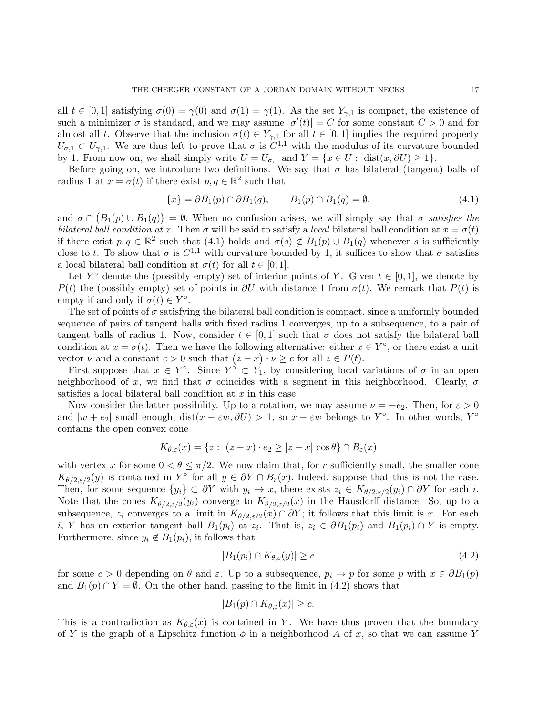all  $t \in [0, 1]$  satisfying  $\sigma(0) = \gamma(0)$  and  $\sigma(1) = \gamma(1)$ . As the set  $Y_{\gamma,1}$  is compact, the existence of such a minimizer  $\sigma$  is standard, and we may assume  $|\sigma'(t)| = C$  for some constant  $C > 0$  and for almost all t. Observe that the inclusion  $\sigma(t) \in Y_{\gamma,1}$  for all  $t \in [0,1]$  implies the required property  $U_{\sigma,1} \subset U_{\gamma,1}$ . We are thus left to prove that  $\sigma$  is  $C^{1,1}$  with the modulus of its curvature bounded by 1. From now on, we shall simply write  $U = U_{\sigma,1}$  and  $Y = \{x \in U : \text{dist}(x, \partial U) \ge 1\}.$ 

Before going on, we introduce two definitions. We say that  $\sigma$  has bilateral (tangent) balls of radius 1 at  $x = \sigma(t)$  if there exist  $p, q \in \mathbb{R}^2$  such that

$$
\{x\} = \partial B_1(p) \cap \partial B_1(q), \qquad B_1(p) \cap B_1(q) = \emptyset,
$$
\n(4.1)

and  $\sigma \cap (B_1(p) \cup B_1(q)) = \emptyset$ . When no confusion arises, we will simply say that  $\sigma$  satisfies the bilateral ball condition at x. Then  $\sigma$  will be said to satisfy a local bilateral ball condition at  $x = \sigma(t)$ if there exist  $p, q \in \mathbb{R}^2$  such that  $(4.1)$  holds and  $\sigma(s) \notin B_1(p) \cup B_1(q)$  whenever s is sufficiently close to t. To show that  $\sigma$  is  $C^{1,1}$  with curvature bounded by 1, it suffices to show that  $\sigma$  satisfies a local bilateral ball condition at  $\sigma(t)$  for all  $t \in [0, 1]$ .

Let  $Y^{\circ}$  denote the (possibly empty) set of interior points of Y. Given  $t \in [0,1]$ , we denote by  $P(t)$  the (possibly empty) set of points in  $\partial U$  with distance 1 from  $\sigma(t)$ . We remark that  $P(t)$  is empty if and only if  $\sigma(t) \in Y^{\circ}$ .

The set of points of  $\sigma$  satisfying the bilateral ball condition is compact, since a uniformly bounded sequence of pairs of tangent balls with fixed radius 1 converges, up to a subsequence, to a pair of tangent balls of radius 1. Now, consider  $t \in [0,1]$  such that  $\sigma$  does not satisfy the bilateral ball condition at  $x = \sigma(t)$ . Then we have the following alternative: either  $x \in Y^{\circ}$ , or there exist a unit vector  $\nu$  and a constant  $c > 0$  such that  $(z - x) \cdot \nu \geq c$  for all  $z \in P(t)$ .

First suppose that  $x \in Y^{\circ}$ . Since  $Y^{\circ} \subset Y_1$ , by considering local variations of  $\sigma$  in an open neighborhood of x, we find that  $\sigma$  coincides with a segment in this neighborhood. Clearly,  $\sigma$ satisfies a local bilateral ball condition at x in this case.

Now consider the latter possibility. Up to a rotation, we may assume  $\nu = -e_2$ . Then, for  $\varepsilon > 0$ and  $|w + e_2|$  small enough, dist $(x - \varepsilon w, \partial U) > 1$ , so  $x - \varepsilon w$  belongs to Y<sup>°</sup>. In other words, Y<sup>°</sup> contains the open convex cone

$$
K_{\theta,\varepsilon}(x) = \{ z : (z - x) \cdot e_2 \ge |z - x| \cos \theta \} \cap B_{\varepsilon}(x)
$$

with vertex x for some  $0 < \theta \leq \pi/2$ . We now claim that, for r sufficiently small, the smaller cone  $K_{\theta/2,\varepsilon/2}(y)$  is contained in Y<sup>o</sup> for all  $y \in \partial Y \cap B_r(x)$ . Indeed, suppose that this is not the case. Then, for some sequence  $\{y_i\} \subset \partial Y$  with  $y_i \to x$ , there exists  $z_i \in K_{\theta/2, \varepsilon/2}(y_i) \cap \partial Y$  for each i. Note that the cones  $K_{\theta/2,\varepsilon/2}(y_i)$  converge to  $K_{\theta/2,\varepsilon/2}(x)$  in the Hausdorff distance. So, up to a subsequence,  $z_i$  converges to a limit in  $K_{\theta/2, \varepsilon/2}(x) \cap \partial Y$ ; it follows that this limit is x. For each i, Y has an exterior tangent ball  $B_1(p_i)$  at  $z_i$ . That is,  $z_i \in \partial B_1(p_i)$  and  $B_1(p_i) \cap Y$  is empty. Furthermore, since  $y_i \notin B_1(p_i)$ , it follows that

$$
|B_1(p_i) \cap K_{\theta,\varepsilon}(y)| \ge c \tag{4.2}
$$

for some  $c > 0$  depending on  $\theta$  and  $\varepsilon$ . Up to a subsequence,  $p_i \to p$  for some p with  $x \in \partial B_1(p)$ and  $B_1(p) \cap Y = \emptyset$ . On the other hand, passing to the limit in (4.2) shows that

$$
|B_1(p) \cap K_{\theta,\varepsilon}(x)| \geq c.
$$

This is a contradiction as  $K_{\theta,\varepsilon}(x)$  is contained in Y. We have thus proven that the boundary of Y is the graph of a Lipschitz function  $\phi$  in a neighborhood A of x, so that we can assume Y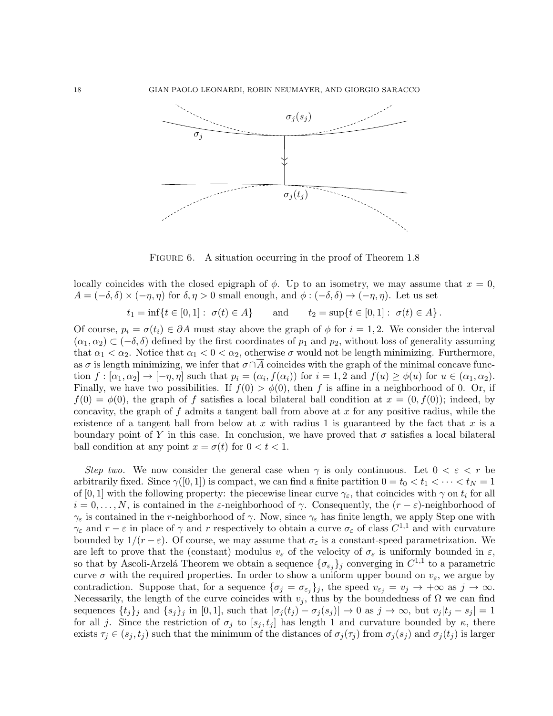

FIGURE 6. A situation occurring in the proof of Theorem 1.8

locally coincides with the closed epigraph of  $\phi$ . Up to an isometry, we may assume that  $x = 0$ ,  $A = (-\delta, \delta) \times (-\eta, \eta)$  for  $\delta, \eta > 0$  small enough, and  $\phi : (-\delta, \delta) \to (-\eta, \eta)$ . Let us set

 $t_1 = \inf\{t \in [0,1]: \sigma(t) \in A\}$  and  $t_2 = \sup\{t \in [0,1]: \sigma(t) \in A\}.$ 

Of course,  $p_i = \sigma(t_i) \in \partial A$  must stay above the graph of  $\phi$  for  $i = 1, 2$ . We consider the interval  $(\alpha_1, \alpha_2) \subset (-\delta, \delta)$  defined by the first coordinates of  $p_1$  and  $p_2$ , without loss of generality assuming that  $\alpha_1 < \alpha_2$ . Notice that  $\alpha_1 < 0 < \alpha_2$ , otherwise  $\sigma$  would not be length minimizing. Furthermore, as  $\sigma$  is length minimizing, we infer that  $\sigma \cap \overline{A}$  coincides with the graph of the minimal concave function  $f : [\alpha_1, \alpha_2] \to [-\eta, \eta]$  such that  $p_i = (\alpha_i, f(\alpha_i))$  for  $i = 1, 2$  and  $f(u) \ge \phi(u)$  for  $u \in (\alpha_1, \alpha_2)$ . Finally, we have two possibilities. If  $f(0) > \phi(0)$ , then f is affine in a neighborhood of 0. Or, if  $f(0) = \phi(0)$ , the graph of f satisfies a local bilateral ball condition at  $x = (0, f(0))$ ; indeed, by concavity, the graph of f admits a tangent ball from above at x for any positive radius, while the existence of a tangent ball from below at x with radius 1 is guaranteed by the fact that x is a boundary point of Y in this case. In conclusion, we have proved that  $\sigma$  satisfies a local bilateral ball condition at any point  $x = \sigma(t)$  for  $0 < t < 1$ .

Step two. We now consider the general case when  $\gamma$  is only continuous. Let  $0 < \varepsilon < r$  be arbitrarily fixed. Since  $\gamma([0,1])$  is compact, we can find a finite partition  $0 = t_0 < t_1 < \cdots < t_N = 1$ of [0, 1] with the following property: the piecewise linear curve  $\gamma_{\epsilon}$ , that coincides with  $\gamma$  on  $t_i$  for all  $i = 0, \ldots, N$ , is contained in the  $\varepsilon$ -neighborhood of  $\gamma$ . Consequently, the  $(r - \varepsilon)$ -neighborhood of  $\gamma_{\varepsilon}$  is contained in the r-neighborhood of  $\gamma$ . Now, since  $\gamma_{\varepsilon}$  has finite length, we apply Step one with  $\gamma_{\varepsilon}$  and  $r - \varepsilon$  in place of  $\gamma$  and r respectively to obtain a curve  $\sigma_{\varepsilon}$  of class  $C^{1,1}$  and with curvature bounded by  $1/(r - \varepsilon)$ . Of course, we may assume that  $\sigma_{\varepsilon}$  is a constant-speed parametrization. We are left to prove that the (constant) modulus  $v_{\varepsilon}$  of the velocity of  $\sigma_{\varepsilon}$  is uniformly bounded in  $\varepsilon$ , so that by Ascoli-Arzelá Theorem we obtain a sequence  $\{\sigma_{\varepsilon_j}\}_j$  converging in  $C^{1,1}$  to a parametric curve  $\sigma$  with the required properties. In order to show a uniform upper bound on  $v_{\varepsilon}$ , we argue by contradiction. Suppose that, for a sequence  $\{\sigma_j = \sigma_{\varepsilon_j}\}_j$ , the speed  $v_{\varepsilon_j} = v_j \to +\infty$  as  $j \to \infty$ . Necessarily, the length of the curve coincides with  $v_j$ , thus by the boundedness of  $\Omega$  we can find sequences  $\{t_j\}_j$  and  $\{s_j\}_j$  in [0, 1], such that  $|\sigma_j(t_j) - \sigma_j(s_j)| \to 0$  as  $j \to \infty$ , but  $v_j|t_j - s_j| = 1$ for all j. Since the restriction of  $\sigma_j$  to  $[s_j, t_j]$  has length 1 and curvature bounded by  $\kappa$ , there exists  $\tau_j \in (s_j, t_j)$  such that the minimum of the distances of  $\sigma_j(\tau_j)$  from  $\sigma_j(s_j)$  and  $\sigma_j(t_j)$  is larger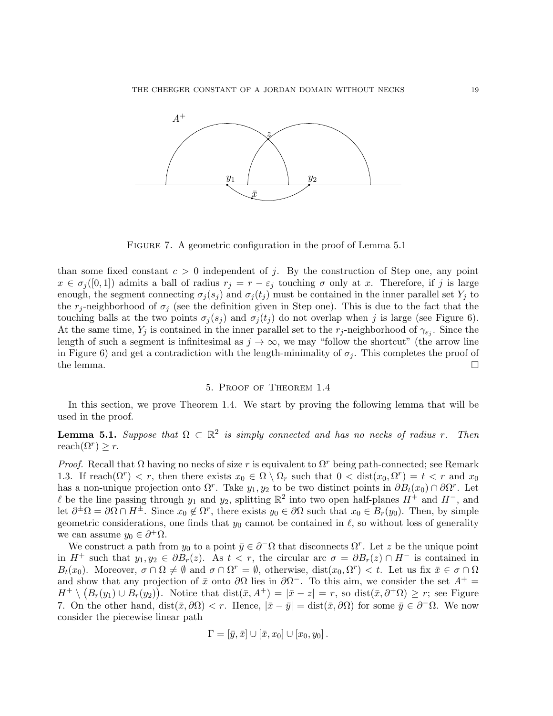

FIGURE 7. A geometric configuration in the proof of Lemma 5.1

than some fixed constant  $c > 0$  independent of j. By the construction of Step one, any point  $x \in \sigma_j([0,1])$  admits a ball of radius  $r_j = r - \varepsilon_j$  touching  $\sigma$  only at x. Therefore, if j is large enough, the segment connecting  $\sigma_i(s_i)$  and  $\sigma_i(t_i)$  must be contained in the inner parallel set  $Y_i$  to the r<sub>j</sub>-neighborhood of  $\sigma_j$  (see the definition given in Step one). This is due to the fact that the touching balls at the two points  $\sigma_i(s_j)$  and  $\sigma_i(t_j)$  do not overlap when j is large (see Figure 6). At the same time,  $Y_j$  is contained in the inner parallel set to the  $r_j$ -neighborhood of  $\gamma_{\epsilon_j}$ . Since the length of such a segment is infinitesimal as  $j \to \infty$ , we may "follow the shortcut" (the arrow line in Figure 6) and get a contradiction with the length-minimality of  $\sigma_j$ . This completes the proof of the lemma.  $\square$ 

# 5. Proof of Theorem 1.4

In this section, we prove Theorem 1.4. We start by proving the following lemma that will be used in the proof.

**Lemma 5.1.** Suppose that  $\Omega \subset \mathbb{R}^2$  is simply connected and has no necks of radius r. Then reach $(\Omega^r) \geq r$ .

*Proof.* Recall that  $\Omega$  having no necks of size r is equivalent to  $\Omega^r$  being path-connected; see Remark 1.3. If reach $(\Omega^r) < r$ , then there exists  $x_0 \in \Omega \setminus \Omega_r$  such that  $0 < \text{dist}(x_0, \Omega^r) = t < r$  and  $x_0$ has a non-unique projection onto  $\Omega^r$ . Take  $y_1, y_2$  to be two distinct points in  $\partial B_t(x_0) \cap \partial \Omega^r$ . Let l be the line passing through  $y_1$  and  $y_2$ , splitting  $\mathbb{R}^2$  into two open half-planes  $H^+$  and  $H^-$ , and let  $\partial^{\pm}\Omega = \partial\Omega \cap H^{\pm}$ . Since  $x_0 \notin \Omega^r$ , there exists  $y_0 \in \partial\Omega$  such that  $x_0 \in B_r(y_0)$ . Then, by simple geometric considerations, one finds that  $y_0$  cannot be contained in  $\ell$ , so without loss of generality we can assume  $y_0 \in \partial^+ \Omega$ .

We construct a path from  $y_0$  to a point  $\bar{y} \in \partial^-\Omega$  that disconnects  $\Omega^r$ . Let z be the unique point in  $H^+$  such that  $y_1, y_2 \in \partial B_r(z)$ . As  $t < r$ , the circular arc  $\sigma = \partial B_r(z) \cap H^-$  is contained in  $B_t(x_0)$ . Moreover,  $\sigma \cap \Omega \neq \emptyset$  and  $\sigma \cap \Omega^r = \emptyset$ , otherwise, dist $(x_0, \Omega^r) < t$ . Let us fix  $\bar{x} \in \sigma \cap \Omega$ and show that any projection of  $\bar{x}$  onto  $\partial\Omega$  lies in  $\partial\Omega^-$ . To this aim, we consider the set  $A^+$  =  $H^+ \setminus (B_r(y_1) \cup B_r(y_2)).$  Notice that  $dist(\bar{x}, A^+) = |\bar{x} - z| = r$ , so  $dist(\bar{x}, \partial^+ \Omega) \geq r$ ; see Figure 7. On the other hand, dist $(\bar{x}, \partial \Omega) < r$ . Hence,  $|\bar{x} - \bar{y}| = \text{dist}(\bar{x}, \partial \Omega)$  for some  $\bar{y} \in \partial^-\Omega$ . We now consider the piecewise linear path

$$
\Gamma = [\bar{y}, \bar{x}] \cup [\bar{x}, x_0] \cup [x_0, y_0].
$$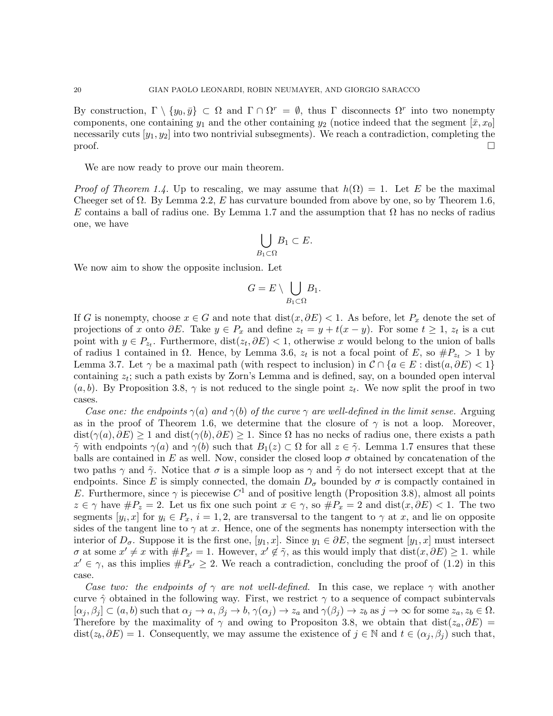By construction,  $\Gamma \setminus \{y_0, \bar{y}\} \subset \Omega$  and  $\Gamma \cap \Omega^r = \emptyset$ , thus  $\Gamma$  disconnects  $\Omega^r$  into two nonempty components, one containing  $y_1$  and the other containing  $y_2$  (notice indeed that the segment  $[\bar{x}, x_0]$ ) necessarily cuts  $[y_1, y_2]$  into two nontrivial subsegments). We reach a contradiction, completing the proof.  $\Box$ 

We are now ready to prove our main theorem.

*Proof of Theorem 1.4.* Up to rescaling, we may assume that  $h(\Omega) = 1$ . Let E be the maximal Cheeger set of  $\Omega$ . By Lemma 2.2, E has curvature bounded from above by one, so by Theorem 1.6, E contains a ball of radius one. By Lemma 1.7 and the assumption that  $\Omega$  has no necks of radius one, we have

$$
\bigcup_{B_1\subset\Omega}B_1\subset E.
$$

We now aim to show the opposite inclusion. Let

$$
G = E \setminus \bigcup_{B_1 \subset \Omega} B_1.
$$

If G is nonempty, choose  $x \in G$  and note that  $dist(x, \partial E) < 1$ . As before, let  $P_x$  denote the set of projections of x onto  $\partial E$ . Take  $y \in P_x$  and define  $z_t = y + t(x - y)$ . For some  $t \geq 1$ ,  $z_t$  is a cut point with  $y \in P_{z_t}$ . Furthermore,  $dist(z_t, \partial E) < 1$ , otherwise x would belong to the union of balls of radius 1 contained in  $\Omega$ . Hence, by Lemma 3.6,  $z_t$  is not a focal point of E, so  $\#P_{z_t} > 1$  by Lemma 3.7. Let  $\gamma$  be a maximal path (with respect to inclusion) in  $\mathcal{C} \cap \{a \in E : dist(a, \partial E) < 1\}$ containing  $z_t$ ; such a path exists by Zorn's Lemma and is defined, say, on a bounded open interval  $(a, b)$ . By Proposition 3.8,  $\gamma$  is not reduced to the single point  $z_t$ . We now split the proof in two cases.

Case one: the endpoints  $\gamma(a)$  and  $\gamma(b)$  of the curve  $\gamma$  are well-defined in the limit sense. Arguing as in the proof of Theorem 1.6, we determine that the closure of  $\gamma$  is not a loop. Moreover,  $dist(\gamma(a), \partial E) \geq 1$  and  $dist(\gamma(b), \partial E) \geq 1$ . Since  $\Omega$  has no necks of radius one, there exists a path  $\tilde{\gamma}$  with endpoints  $\gamma(a)$  and  $\gamma(b)$  such that  $B_1(z) \subset \Omega$  for all  $z \in \tilde{\gamma}$ . Lemma 1.7 ensures that these balls are contained in E as well. Now, consider the closed loop  $\sigma$  obtained by concatenation of the two paths  $\gamma$  and  $\tilde{\gamma}$ . Notice that  $\sigma$  is a simple loop as  $\gamma$  and  $\tilde{\gamma}$  do not intersect except that at the endpoints. Since E is simply connected, the domain  $D_{\sigma}$  bounded by  $\sigma$  is compactly contained in E. Furthermore, since  $\gamma$  is piecewise  $C^1$  and of positive length (Proposition 3.8), almost all points  $z \in \gamma$  have  $\#P_z = 2$ . Let us fix one such point  $x \in \gamma$ , so  $\#P_x = 2$  and  $dist(x, \partial E) < 1$ . The two segments  $[y_i, x]$  for  $y_i \in P_x$ ,  $i = 1, 2$ , are transversal to the tangent to  $\gamma$  at x, and lie on opposite sides of the tangent line to  $\gamma$  at x. Hence, one of the segments has nonempty intersection with the interior of  $D_{\sigma}$ . Suppose it is the first one,  $[y_1, x]$ . Since  $y_1 \in \partial E$ , the segment  $[y_1, x]$  must intersect  $\sigma$  at some  $x' \neq x$  with  $\#P_{x'} = 1$ . However,  $x' \notin \tilde{\gamma}$ , as this would imply that  $dist(x, \partial E) \geq 1$ . while  $x' \in \gamma$ , as this implies  $\#P_{x'} \geq 2$ . We reach a contradiction, concluding the proof of (1.2) in this case.

Case two: the endpoints of  $\gamma$  are not well-defined. In this case, we replace  $\gamma$  with another curve  $\hat{\gamma}$  obtained in the following way. First, we restrict  $\gamma$  to a sequence of compact subintervals  $[\alpha_j, \beta_j] \subset (a, b)$  such that  $\alpha_j \to a, \beta_j \to b, \gamma(\alpha_j) \to z_a$  and  $\gamma(\beta_j) \to z_b$  as  $j \to \infty$  for some  $z_a, z_b \in \Omega$ . Therefore by the maximality of  $\gamma$  and owing to Propositon 3.8, we obtain that dist( $z_a, \partial E$ ) = dist( $z_b, \partial E$ ) = 1. Consequently, we may assume the existence of  $j \in \mathbb{N}$  and  $t \in (\alpha_j, \beta_j)$  such that,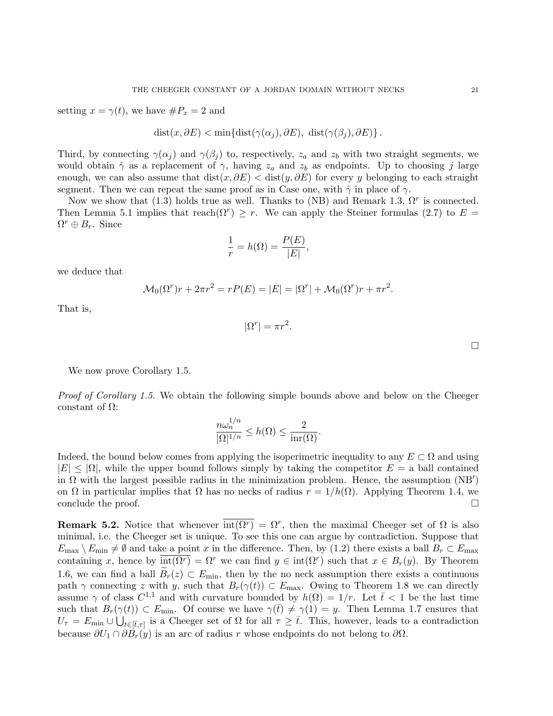setting  $x = \gamma(t)$ , we have  $\#P_x = 2$  and

$$
dist(x, \partial E) < min{dist(\gamma(\alpha_j), \partial E), dist(\gamma(\beta_j), \partial E)}.
$$

Third, by connecting  $\gamma(\alpha_i)$  and  $\gamma(\beta_i)$  to, respectively,  $z_a$  and  $z_b$  with two straight segments, we would obtain  $\hat{\gamma}$  as a replacement of  $\gamma$ , having  $z_a$  and  $z_b$  as endpoints. Up to choosing j large enough, we can also assume that  $dist(x, \partial E) < dist(y, \partial E)$  for every y belonging to each straight segment. Then we can repeat the same proof as in Case one, with  $\hat{\gamma}$  in place of  $\gamma$ .

Now we show that (1.3) holds true as well. Thanks to (NB) and Remark 1.3,  $\Omega^r$  is connected. Then Lemma 5.1 implies that reach $(\Omega^r) \geq r$ . We can apply the Steiner formulas (2.7) to  $E =$  $\Omega^r \oplus B_r$ . Since

$$
\frac{1}{r} = h(\Omega) = \frac{P(E)}{|E|},
$$

we deduce that

$$
\mathcal{M}_0(\Omega^r)r + 2\pi r^2 = rP(E) = |E| = |\Omega^r| + \mathcal{M}_0(\Omega^r)r + \pi r^2.
$$

That is,

$$
|\Omega^r| = \pi r^2.
$$

We now prove Corollary 1.5.

Proof of Corollary 1.5. We obtain the following simple bounds above and below on the Cheeger constant of Ω:

$$
\frac{n\omega_n^{1/n}}{|\Omega|^{1/n}} \le h(\Omega) \le \frac{2}{\text{inr}(\Omega)}.
$$

Indeed, the bound below comes from applying the isoperimetric inequality to any  $E \subset \Omega$  and using  $|E| \leq |\Omega|$ , while the upper bound follows simply by taking the competitor  $E = a$  ball contained in  $\Omega$  with the largest possible radius in the minimization problem. Hence, the assumption  $(NB')$ on  $\Omega$  in particular implies that  $\Omega$  has no necks of radius  $r = 1/h(\Omega)$ . Applying Theorem 1.4, we conclude the proof.

**Remark 5.2.** Notice that whenever  $\overline{int(\Omega^r)} = \Omega^r$ , then the maximal Cheeger set of  $\Omega$  is also minimal, i.e. the Cheeger set is unique. To see this one can argue by contradiction. Suppose that  $E_{\text{max}} \setminus E_{\text{min}} \neq \emptyset$  and take a point x in the difference. Then, by (1.2) there exists a ball  $B_r \subset E_{\text{max}}$ containing x, hence by  $\overline{\text{int}(\Omega^r)} = \Omega^r$  we can find  $y \in \text{int}(\Omega^r)$  such that  $x \in B_r(y)$ . By Theorem 1.6, we can find a ball  $B_r(z) \subset E_{\text{min}}$ , then by the no neck assumption there exists a continuous path  $\gamma$  connecting z with y, such that  $B_r(\gamma(t)) \subset E_{\text{max}}$ . Owing to Theorem 1.8 we can directly assume  $\gamma$  of class  $C^{1,1}$  and with curvature bounded by  $h(\Omega) = 1/r$ . Let  $\bar{t} < 1$  be the last time such that  $B_r(\gamma(t)) \subset E_{\text{min}}$ . Of course we have  $\gamma(\bar{t}) \neq \gamma(1) = y$ . Then Lemma 1.7 ensures that  $U_{\tau} = E_{\min} \cup \bigcup_{t \in [\bar{t}, \tau]}$  is a Cheeger set of  $\Omega$  for all  $\tau \geq \bar{t}$ . This, however, leads to a contradiction because  $\partial U_1 \cap \partial B_r(y)$  is an arc of radius r whose endpoints do not belong to  $\partial \Omega$ .

 $\Box$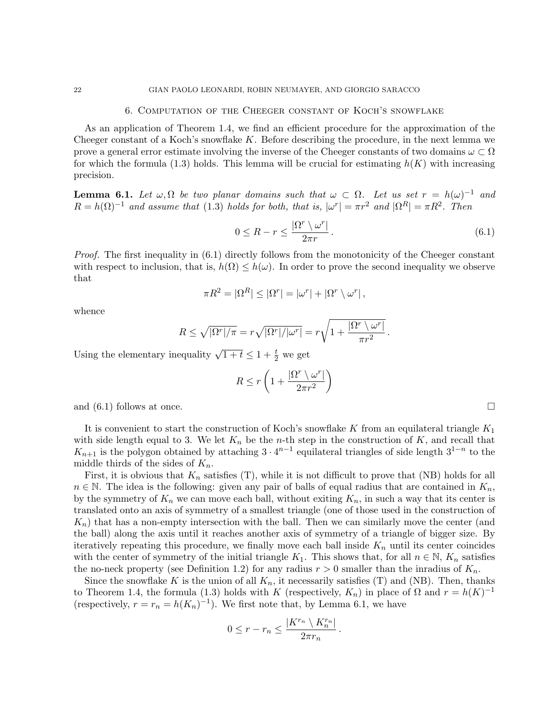#### 6. Computation of the Cheeger constant of Koch's snowflake

As an application of Theorem 1.4, we find an efficient procedure for the approximation of the Cheeger constant of a Koch's snowflake  $K$ . Before describing the procedure, in the next lemma we prove a general error estimate involving the inverse of the Cheeger constants of two domains  $\omega \subset \Omega$ for which the formula (1.3) holds. This lemma will be crucial for estimating  $h(K)$  with increasing precision.

**Lemma 6.1.** Let  $\omega, \Omega$  be two planar domains such that  $\omega \subset \Omega$ . Let us set  $r = h(\omega)^{-1}$  and  $R = h(\Omega)^{-1}$  and assume that (1.3) holds for both, that is,  $|\omega^r| = \pi r^2$  and  $|\Omega^R| = \pi R^2$ . Then

$$
0 \le R - r \le \frac{|\Omega^r \setminus \omega^r|}{2\pi r}.
$$
\n(6.1)

Proof. The first inequality in  $(6.1)$  directly follows from the monotonicity of the Cheeger constant with respect to inclusion, that is,  $h(\Omega) \leq h(\omega)$ . In order to prove the second inequality we observe that

$$
\pi R^2 = |\Omega^R| \le |\Omega^r| = |\omega^r| + |\Omega^r \setminus \omega^r|,
$$

whence

$$
R \leq \sqrt{|\Omega^r|/\pi} = r\sqrt{|\Omega^r|/|\omega^r|} = r\sqrt{1 + \frac{|\Omega^r \setminus \omega^r|}{\pi r^2}}.
$$

Using the elementary inequality  $\sqrt{1+t} \leq 1+\frac{t}{2}$  we get

$$
R \le r \left( 1 + \frac{|\Omega^r \setminus \omega^r|}{2\pi r^2} \right)
$$

and  $(6.1)$  follows at once.

It is convenient to start the construction of Koch's snowflake K from an equilateral triangle  $K_1$ with side length equal to 3. We let  $K_n$  be the *n*-th step in the construction of K, and recall that  $K_{n+1}$  is the polygon obtained by attaching  $3 \cdot 4^{n-1}$  equilateral triangles of side length  $3^{1-n}$  to the middle thirds of the sides of  $K_n$ .

First, it is obvious that  $K_n$  satisfies (T), while it is not difficult to prove that (NB) holds for all  $n \in \mathbb{N}$ . The idea is the following: given any pair of balls of equal radius that are contained in  $K_n$ , by the symmetry of  $K_n$  we can move each ball, without exiting  $K_n$ , in such a way that its center is translated onto an axis of symmetry of a smallest triangle (one of those used in the construction of  $K_n$ ) that has a non-empty intersection with the ball. Then we can similarly move the center (and the ball) along the axis until it reaches another axis of symmetry of a triangle of bigger size. By iteratively repeating this procedure, we finally move each ball inside  $K_n$  until its center coincides with the center of symmetry of the initial triangle  $K_1$ . This shows that, for all  $n \in \mathbb{N}$ ,  $K_n$  satisfies the no-neck property (see Definition 1.2) for any radius  $r > 0$  smaller than the inradius of  $K_n$ .

Since the snowflake K is the union of all  $K_n$ , it necessarily satisfies (T) and (NB). Then, thanks to Theorem 1.4, the formula (1.3) holds with K (respectively,  $K_n$ ) in place of  $\Omega$  and  $r = h(K)^{-1}$ (respectively,  $r = r_n = h(K_n)^{-1}$ ). We first note that, by Lemma 6.1, we have

$$
0\leq r-r_n\leq \frac{|K^{r_n}\setminus K_n^{r_n}|}{2\pi r_n}\,.
$$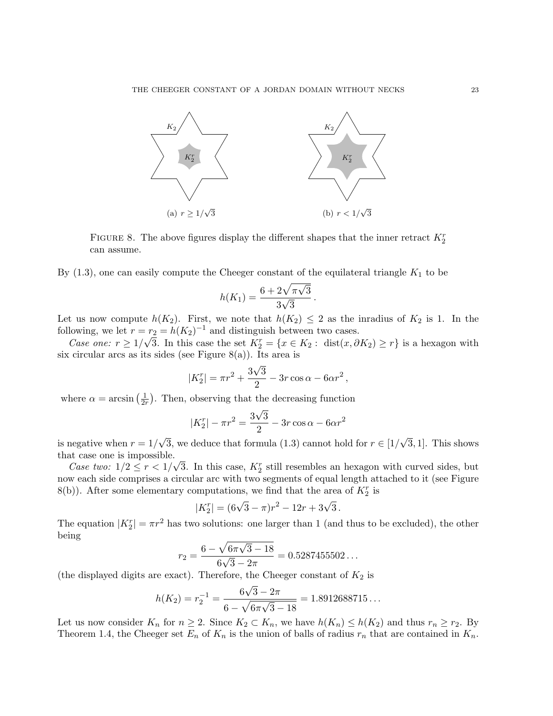

FIGURE 8. The above figures display the different shapes that the inner retract  $K_2^r$ can assume.

By  $(1.3)$ , one can easily compute the Cheeger constant of the equilateral triangle  $K_1$  to be

$$
h(K_1) = \frac{6 + 2\sqrt{\pi\sqrt{3}}}{3\sqrt{3}}
$$

.

Let us now compute  $h(K_2)$ . First, we note that  $h(K_2) \leq 2$  as the inradius of  $K_2$  is 1. In the following, we let  $r = r_2 = h(K_2)^{-1}$  and distinguish between two cases.

Case one:  $r \ge 1/\sqrt{3}$ . In this case the set  $K_2^r = \{x \in K_2 : \text{dist}(x, \partial K_2) \ge r\}$  is a hexagon with six circular arcs as its sides (see Figure 8(a)). Its area is

$$
|K_2^r| = \pi r^2 + \frac{3\sqrt{3}}{2} - 3r\cos\alpha - 6\alpha r^2,
$$

where  $\alpha = \arcsin\left(\frac{1}{2n}\right)$  $\frac{1}{2r}$ ). Then, observing that the decreasing function

$$
|K_2^r| - \pi r^2 = \frac{3\sqrt{3}}{2} - 3r\cos\alpha - 6\alpha r^2
$$

is negative when  $r = 1/\sqrt{3}$ , we deduce that formula (1.3) cannot hold for  $r \in [1/\sqrt{3}, 1]$ . This shows that case one is impossible.

Case two:  $1/2 \le r < 1/\sqrt{3}$ . In this case,  $K_2^r$  still resembles an hexagon with curved sides, but now each side comprises a circular arc with two segments of equal length attached to it (see Figure 8(b)). After some elementary computations, we find that the area of  $K_2^r$  is

$$
|K_2^r| = (6\sqrt{3} - \pi)r^2 - 12r + 3\sqrt{3}.
$$

The equation  $|K_2^r| = \pi r^2$  has two solutions: one larger than 1 (and thus to be excluded), the other being

$$
r_2 = \frac{6 - \sqrt{6\pi\sqrt{3} - 18}}{6\sqrt{3} - 2\pi} = 0.5287455502...
$$

(the displayed digits are exact). Therefore, the Cheeger constant of  $K_2$  is

$$
h(K_2) = r_2^{-1} = \frac{6\sqrt{3} - 2\pi}{6 - \sqrt{6\pi\sqrt{3} - 18}} = 1.8912688715...
$$

Let us now consider  $K_n$  for  $n \geq 2$ . Since  $K_2 \subset K_n$ , we have  $h(K_n) \leq h(K_2)$  and thus  $r_n \geq r_2$ . By Theorem 1.4, the Cheeger set  $E_n$  of  $K_n$  is the union of balls of radius  $r_n$  that are contained in  $K_n$ .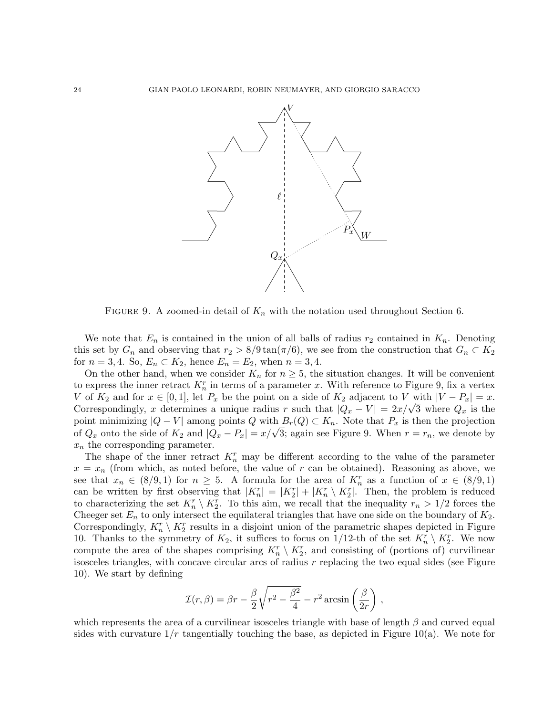

FIGURE 9. A zoomed-in detail of  $K_n$  with the notation used throughout Section 6.

We note that  $E_n$  is contained in the union of all balls of radius  $r_2$  contained in  $K_n$ . Denoting this set by  $G_n$  and observing that  $r_2 > 8/9 \tan(\pi/6)$ , we see from the construction that  $G_n \subset K_2$ for  $n = 3, 4$ . So,  $E_n \subset K_2$ , hence  $E_n = E_2$ , when  $n = 3, 4$ .

On the other hand, when we consider  $K_n$  for  $n \geq 5$ , the situation changes. It will be convenient to express the inner retract  $K_n^r$  in terms of a parameter x. With reference to Figure 9, fix a vertex V of  $K_2$  and for  $x \in [0,1]$ , let  $P_x$  be the point on a side of  $K_2$  adjacent to V with  $|V - P_x| = x$ . Correspondingly, x determines a unique radius r such that  $|Q_x - V| = 2x/\sqrt{3}$  where  $Q_x$  is the point minimizing  $|Q - V|$  among points Q with  $B_r(Q) \subset K_n$ . Note that  $P_x$  is then the projection of  $Q_x$  onto the side of  $K_2$  and  $|Q_x - P_x| = x/\sqrt{3}$ ; again see Figure 9. When  $r = r_n$ , we denote by  $x_n$  the corresponding parameter.

The shape of the inner retract  $K_n^r$  may be different according to the value of the parameter  $x = x_n$  (from which, as noted before, the value of r can be obtained). Reasoning as above, we see that  $x_n \in (8/9, 1)$  for  $n \geq 5$ . A formula for the area of  $K_n^r$  as a function of  $x \in (8/9, 1)$ can be written by first observing that  $|K_n^r| = |K_2^r| + |K_n^r \setminus K_2^r|$ . Then, the problem is reduced to characterizing the set  $K_n^r \setminus K_2^r$ . To this aim, we recall that the inequality  $r_n > 1/2$  forces the Cheeger set  $E_n$  to only intersect the equilateral triangles that have one side on the boundary of  $K_2$ . Correspondingly,  $K_n^r \setminus K_2^r$  results in a disjoint union of the parametric shapes depicted in Figure 10. Thanks to the symmetry of  $K_2$ , it suffices to focus on 1/12-th of the set  $K_n^r \setminus K_2^r$ . We now compute the area of the shapes comprising  $K_n^r \setminus K_2^r$ , and consisting of (portions of) curvilinear isosceles triangles, with concave circular arcs of radius  $r$  replacing the two equal sides (see Figure 10). We start by defining

$$
\mathcal{I}(r,\beta) = \beta r - \frac{\beta}{2}\sqrt{r^2 - \frac{\beta^2}{4}} - r^2 \arcsin\left(\frac{\beta}{2r}\right),\,
$$

which represents the area of a curvilinear isosceles triangle with base of length  $\beta$  and curved equal sides with curvature  $1/r$  tangentially touching the base, as depicted in Figure 10(a). We note for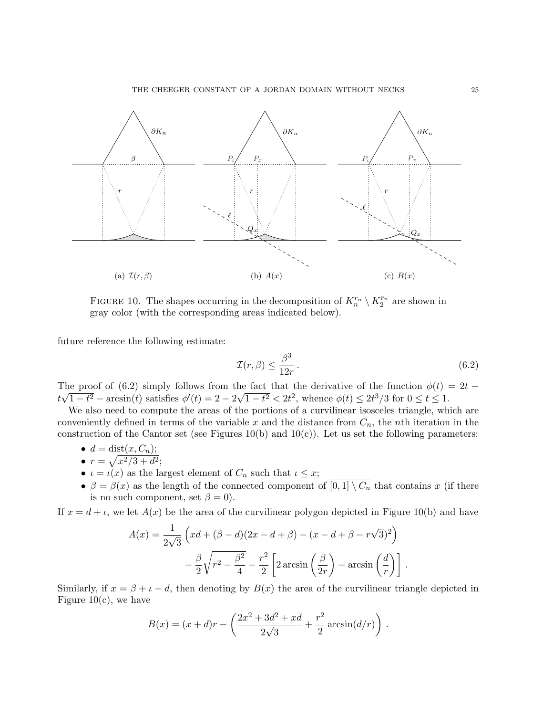

FIGURE 10. The shapes occurring in the decomposition of  $K_n^{r_n} \setminus K_2^{r_n}$  are shown in gray color (with the corresponding areas indicated below).

future reference the following estimate:

$$
\mathcal{I}(r,\beta) \le \frac{\beta^3}{12r} \,. \tag{6.2}
$$

The proof of (6.2) simply follows from the fact that the derivative of the function  $\phi(t) = 2t$  −  $\frac{1}{2}$   $\frac{1}{2}$   $\frac{1}{2}$   $\frac{1}{2}$   $\frac{1}{2}$   $\frac{1}{2}$   $\frac{1}{2}$   $\frac{1}{2}$   $\frac{1}{2}$   $\frac{1}{2}$   $\frac{1}{2}$   $\frac{1}{2}$   $\frac{1}{2}$   $\frac{1}{2}$   $\frac{1}{2}$   $\frac{1}{2}$   $\frac{1}{2}$   $\frac{1}{2}$   $\frac{1}{2}$   $\frac{1}{2}$   $\frac{1}{2}$   $\frac{1}{2}$ 

We also need to compute the areas of the portions of a curvilinear isosceles triangle, which are conveniently defined in terms of the variable x and the distance from  $C_n$ , the nth iteration in the construction of the Cantor set (see Figures 10(b) and 10(c)). Let us set the following parameters:

- $d = \text{dist}(x, C_n);$
- $r = \sqrt{x^2/3 + d^2}$ ;
- $\iota = \iota(x)$  as the largest element of  $C_n$  such that  $\iota \leq x$ ;
- $\beta = \beta(x)$  as the length of the connected component of  $\overline{[0,1] \setminus C_n}$  that contains x (if there is no such component, set  $\beta = 0$ ).

If  $x = d + \iota$ , we let  $A(x)$  be the area of the curvilinear polygon depicted in Figure 10(b) and have

$$
A(x) = \frac{1}{2\sqrt{3}} \left( xd + (\beta - d)(2x - d + \beta) - (x - d + \beta - r\sqrt{3})^2 \right)
$$

$$
- \frac{\beta}{2} \sqrt{r^2 - \frac{\beta^2}{4}} - \frac{r^2}{2} \left[ 2 \arcsin\left(\frac{\beta}{2r}\right) - \arcsin\left(\frac{d}{r}\right) \right].
$$

Similarly, if  $x = \beta + \iota - d$ , then denoting by  $B(x)$  the area of the curvilinear triangle depicted in Figure 10 $(c)$ , we have

$$
B(x) = (x + d)r - \left(\frac{2x^2 + 3d^2 + xd}{2\sqrt{3}} + \frac{r^2}{2}\arcsin(d/r)\right).
$$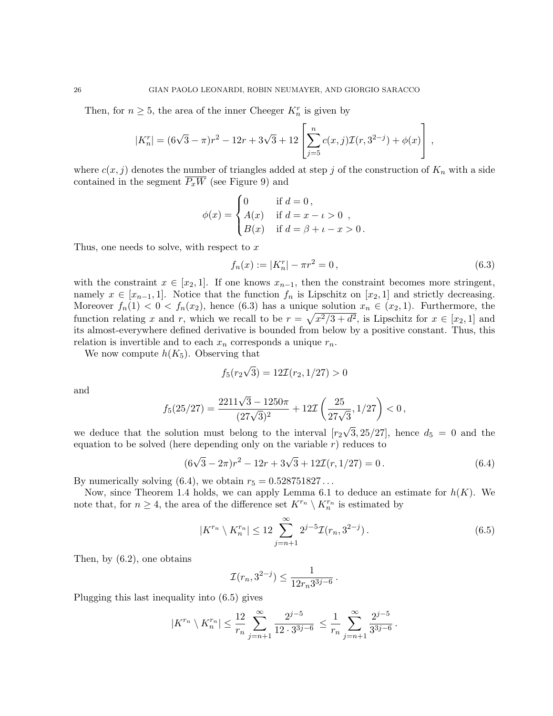Then, for  $n \geq 5$ , the area of the inner Cheeger  $K_n^r$  is given by

$$
|K_n^r| = (6\sqrt{3} - \pi)r^2 - 12r + 3\sqrt{3} + 12\left[\sum_{j=5}^n c(x,j)\mathcal{I}(r,3^{2-j}) + \phi(x)\right],
$$

where  $c(x, j)$  denotes the number of triangles added at step j of the construction of  $K_n$  with a side contained in the segment  $\overline{P_xW}$  (see Figure 9) and

$$
\phi(x) = \begin{cases} 0 & \text{if } d = 0, \\ A(x) & \text{if } d = x - \iota > 0 \\ B(x) & \text{if } d = \beta + \iota - x > 0. \end{cases}
$$

Thus, one needs to solve, with respect to  $x$ 

$$
f_n(x) := |K_n^r| - \pi r^2 = 0,
$$
\n(6.3)

with the constraint  $x \in [x_2, 1]$ . If one knows  $x_{n-1}$ , then the constraint becomes more stringent, namely  $x \in [x_{n-1}, 1]$ . Notice that the function  $f_n$  is Lipschitz on  $[x_2, 1]$  and strictly decreasing. Moreover  $f_n(1) < 0 < f_n(x_2)$ , hence (6.3) has a unique solution  $x_n \in (x_2, 1)$ . Furthermore, the function relating x and r, which we recall to be  $r = \sqrt{x^2/3 + d^2}$ , is Lipschitz for  $x \in [x_2, 1]$  and its almost-everywhere defined derivative is bounded from below by a positive constant. Thus, this relation is invertible and to each  $x_n$  corresponds a unique  $r_n$ .

We now compute  $h(K_5)$ . Observing that

$$
f_5(r_2\sqrt{3})=12\mathcal{I}(r_2,1/27)>0
$$

and

$$
f_5(25/27)=\frac{2211\sqrt{3}-1250\pi}{(27\sqrt{3})^2}+12\mathcal{I}\left(\frac{25}{27\sqrt{3}},1/27\right)<0\,,
$$

we deduce that the solution must belong to the interval  $[r_2\sqrt{3}, 25/27]$ , hence  $d_5 = 0$  and the equation to be solved (here depending only on the variable  $r$ ) reduces to

$$
(6\sqrt{3} - 2\pi)r^2 - 12r + 3\sqrt{3} + 12\mathcal{I}(r, 1/27) = 0.
$$
 (6.4)

By numerically solving  $(6.4)$ , we obtain  $r_5 = 0.528751827...$ 

Now, since Theorem 1.4 holds, we can apply Lemma 6.1 to deduce an estimate for  $h(K)$ . We note that, for  $n \geq 4$ , the area of the difference set  $K^{r_n} \setminus K_n^{r_n}$  is estimated by

$$
|K^{r_n} \setminus K_n^{r_n}| \le 12 \sum_{j=n+1}^{\infty} 2^{j-5} \mathcal{I}(r_n, 3^{2-j}). \tag{6.5}
$$

Then, by (6.2), one obtains

$$
\mathcal{I}(r_n, 3^{2-j}) \leq \frac{1}{12r_n 3^{3j-6}}\,.
$$

Plugging this last inequality into (6.5) gives

$$
|K^{r_n} \setminus K_n^{r_n}| \leq \frac{12}{r_n} \sum_{j=n+1}^{\infty} \frac{2^{j-5}}{12 \cdot 3^{3j-6}} \leq \frac{1}{r_n} \sum_{j=n+1}^{\infty} \frac{2^{j-5}}{3^{3j-6}}.
$$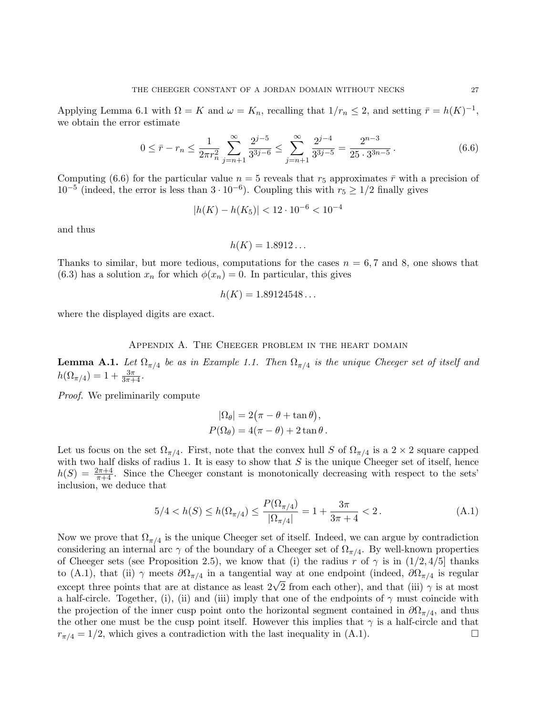Applying Lemma 6.1 with  $\Omega = K$  and  $\omega = K_n$ , recalling that  $1/r_n \leq 2$ , and setting  $\bar{r} = h(K)^{-1}$ , we obtain the error estimate

$$
0 \le \bar{r} - r_n \le \frac{1}{2\pi r_n^2} \sum_{j=n+1}^{\infty} \frac{2^{j-5}}{3^{3j-6}} \le \sum_{j=n+1}^{\infty} \frac{2^{j-4}}{3^{3j-5}} = \frac{2^{n-3}}{25 \cdot 3^{3n-5}}.
$$
 (6.6)

Computing (6.6) for the particular value  $n = 5$  reveals that  $r_5$  approximates  $\bar{r}$  with a precision of  $10^{-5}$  (indeed, the error is less than  $3 \cdot 10^{-6}$ ). Coupling this with  $r_5 \ge 1/2$  finally gives

$$
|h(K) - h(K_5)| < 12 \cdot 10^{-6} < 10^{-4}
$$

and thus

$$
h(K) = 1.8912\ldots
$$

Thanks to similar, but more tedious, computations for the cases  $n = 6, 7$  and 8, one shows that (6.3) has a solution  $x_n$  for which  $\phi(x_n) = 0$ . In particular, this gives

$$
h(K) = 1.89124548\ldots
$$

where the displayed digits are exact.

#### Appendix A. The Cheeger problem in the heart domain

**Lemma A.1.** Let  $\Omega_{\pi/4}$  be as in Example 1.1. Then  $\Omega_{\pi/4}$  is the unique Cheeger set of itself and  $h(\Omega_{\pi/4}) = 1 + \frac{3\pi}{3\pi + 4}.$ 

Proof. We preliminarily compute

$$
|\Omega_{\theta}| = 2(\pi - \theta + \tan \theta),
$$
  

$$
P(\Omega_{\theta}) = 4(\pi - \theta) + 2 \tan \theta.
$$

Let us focus on the set  $\Omega_{\pi/4}$ . First, note that the convex hull S of  $\Omega_{\pi/4}$  is a  $2 \times 2$  square capped with two half disks of radius 1. It is easy to show that  $S$  is the unique Cheeger set of itself, hence  $h(S) = \frac{2\pi+4}{\pi+4}$ . Since the Cheeger constant is monotonically decreasing with respect to the sets' inclusion, we deduce that

$$
5/4 < h(S) \le h(\Omega_{\pi/4}) \le \frac{P(\Omega_{\pi/4})}{|\Omega_{\pi/4}|} = 1 + \frac{3\pi}{3\pi + 4} < 2. \tag{A.1}
$$

Now we prove that  $\Omega_{\pi/4}$  is the unique Cheeger set of itself. Indeed, we can argue by contradiction considering an internal arc  $\gamma$  of the boundary of a Cheeger set of  $\Omega_{\pi/4}$ . By well-known properties of Cheeger sets (see Proposition 2.5), we know that (i) the radius r of  $\gamma$  is in  $(1/2, 4/5]$  thanks to (A.1), that (ii)  $\gamma$  meets  $\partial\Omega_{\pi/4}$  in a tangential way at one endpoint (indeed,  $\partial\Omega_{\pi/4}$  is regular except three points that are at distance as least  $2\sqrt{2}$  from each other), and that (iii)  $\gamma$  is at most a half-circle. Together, (i), (ii) and (iii) imply that one of the endpoints of  $\gamma$  must coincide with the projection of the inner cusp point onto the horizontal segment contained in  $\partial\Omega_{\pi/4}$ , and thus the other one must be the cusp point itself. However this implies that  $\gamma$  is a half-circle and that  $r_{\pi/4} = 1/2$ , which gives a contradiction with the last inequality in (A.1).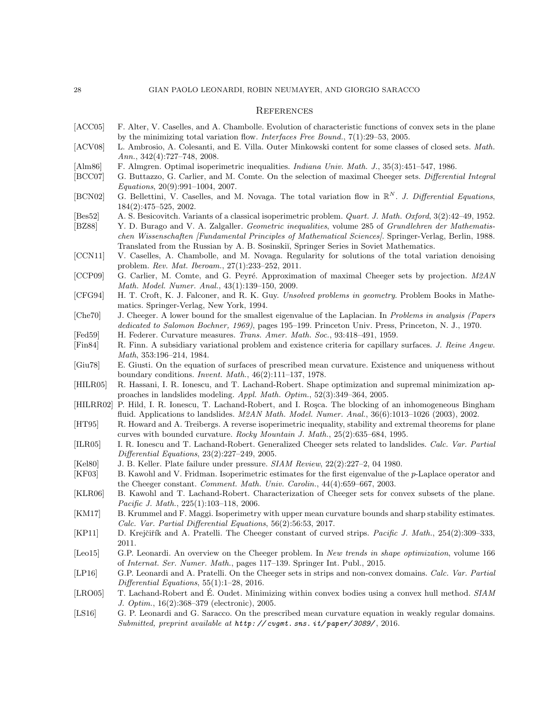### **REFERENCES**

- [ACC05] F. Alter, V. Caselles, and A. Chambolle. Evolution of characteristic functions of convex sets in the plane by the minimizing total variation flow. Interfaces Free Bound., 7(1):29–53, 2005.
- [ACV08] L. Ambrosio, A. Colesanti, and E. Villa. Outer Minkowski content for some classes of closed sets. Math. Ann., 342(4):727–748, 2008.
- [Alm86] F. Almgren. Optimal isoperimetric inequalities. Indiana Univ. Math. J., 35(3):451–547, 1986.
- [BCC07] G. Buttazzo, G. Carlier, and M. Comte. On the selection of maximal Cheeger sets. *Differential Integral* Equations, 20(9):991–1004, 2007.
- [BCN02] G. Bellettini, V. Caselles, and M. Novaga. The total variation flow in  $\mathbb{R}^N$ . J. Differential Equations, 184(2):475–525, 2002.
- [Bes52] A. S. Besicovitch. Variants of a classical isoperimetric problem. Quart. J. Math. Oxford, 3(2):42–49, 1952.
- [BZ88] Y. D. Burago and V. A. Zalgaller. *Geometric inequalities*, volume 285 of *Grundlehren der Mathematis*chen Wissenschaften [Fundamental Principles of Mathematical Sciences]. Springer-Verlag, Berlin, 1988. Translated from the Russian by A. B. Sosinski˘ı, Springer Series in Soviet Mathematics.
- [CCN11] V. Caselles, A. Chambolle, and M. Novaga. Regularity for solutions of the total variation denoising problem. Rev. Mat. Iberoam., 27(1):233–252, 2011.
- [CCP09] G. Carlier, M. Comte, and G. Peyré. Approximation of maximal Cheeger sets by projection. M2AN Math. Model. Numer. Anal., 43(1):139–150, 2009.
- [CFG94] H. T. Croft, K. J. Falconer, and R. K. Guy. Unsolved problems in geometry. Problem Books in Mathematics. Springer-Verlag, New York, 1994.
- [Che70] J. Cheeger. A lower bound for the smallest eigenvalue of the Laplacian. In Problems in analysis (Papers dedicated to Salomon Bochner, 1969), pages 195–199. Princeton Univ. Press, Princeton, N. J., 1970.
- [Fed59] H. Federer. Curvature measures. Trans. Amer. Math. Soc., 93:418–491, 1959.
- [Fin84] R. Finn. A subsidiary variational problem and existence criteria for capillary surfaces. J. Reine Angew. Math, 353:196–214, 1984.
- [Giu78] E. Giusti. On the equation of surfaces of prescribed mean curvature. Existence and uniqueness without boundary conditions. Invent. Math., 46(2):111–137, 1978.
- [HILR05] R. Hassani, I. R. Ionescu, and T. Lachand-Robert. Shape optimization and supremal minimization approaches in landslides modeling. Appl. Math. Optim., 52(3):349–364, 2005.
- [HILRR02] P. Hild, I. R. Ionescu, T. Lachand-Robert, and I. Rosca. The blocking of an inhomogeneous Bingham fluid. Applications to landslides. M2AN Math. Model. Numer. Anal., 36(6):1013–1026 (2003), 2002.
- [HT95] R. Howard and A. Treibergs. A reverse isoperimetric inequality, stability and extremal theorems for plane curves with bounded curvature. Rocky Mountain J. Math., 25(2):635–684, 1995.
- [ILR05] I. R. Ionescu and T. Lachand-Robert. Generalized Cheeger sets related to landslides. Calc. Var. Partial Differential Equations, 23(2):227–249, 2005.
- [Kel80] J. B. Keller. Plate failure under pressure. SIAM Review, 22(2):227–2, 04 1980.
- [KF03] B. Kawohl and V. Fridman. Isoperimetric estimates for the first eigenvalue of the p-Laplace operator and the Cheeger constant. Comment. Math. Univ. Carolin., 44(4):659–667, 2003.
- [KLR06] B. Kawohl and T. Lachand-Robert. Characterization of Cheeger sets for convex subsets of the plane. Pacific J. Math., 225(1):103–118, 2006.
- [KM17] B. Krummel and F. Maggi. Isoperimetry with upper mean curvature bounds and sharp stability estimates. Calc. Var. Partial Differential Equations, 56(2):56:53, 2017.
- [KP11] D. Krejčiřík and A. Pratelli. The Cheeger constant of curved strips. *Pacific J. Math.*, 254(2):309–333, 2011.
- [Leo15] G.P. Leonardi. An overview on the Cheeger problem. In New trends in shape optimization, volume 166 of Internat. Ser. Numer. Math., pages 117–139. Springer Int. Publ., 2015.
- [LP16] G.P. Leonardi and A. Pratelli. On the Cheeger sets in strips and non-convex domains. Calc. Var. Partial Differential Equations, 55(1):1–28, 2016.
- [LRO05] T. Lachand-Robert and É. Oudet. Minimizing within convex bodies using a convex hull method. SIAM J. Optim., 16(2):368–379 (electronic), 2005.
- [LS16] G. P. Leonardi and G. Saracco. On the prescribed mean curvature equation in weakly regular domains. Submitted, preprint available at  $http://cygmt.sns.it/paper/3089/, 2016$ .